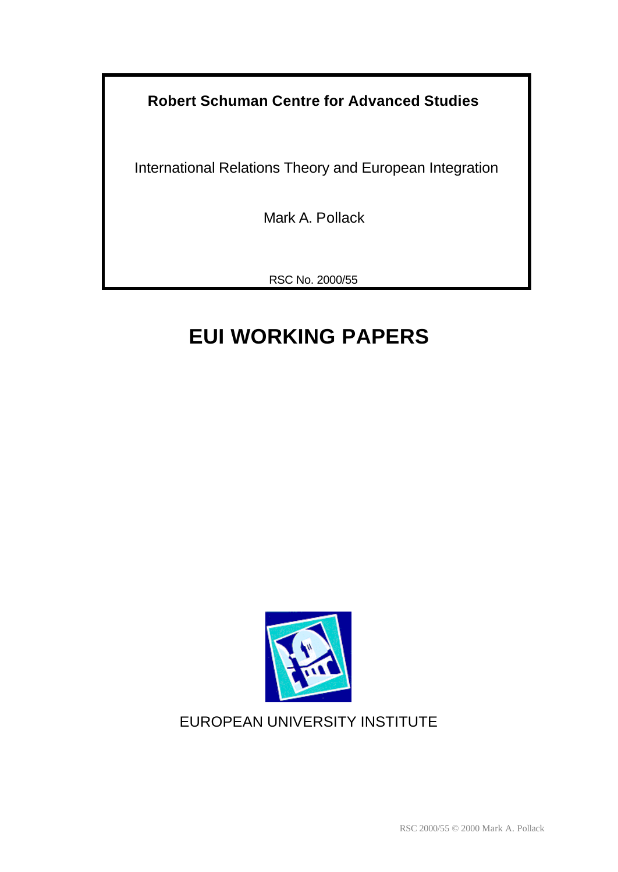**Robert Schuman Centre for Advanced Studies**

International Relations Theory and European Integration

Mark A. Pollack

RSC No. 2000/55

# **EUI WORKING PAPERS**



## EUROPEAN UNIVERSITY INSTITUTE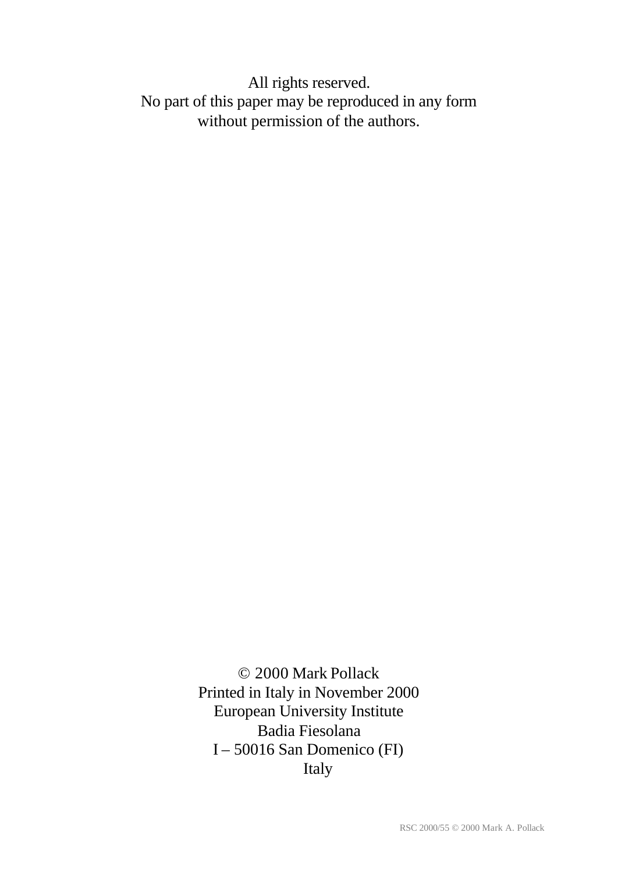All rights reserved. No part of this paper may be reproduced in any form without permission of the authors.

> © 2000 Mark Pollack Printed in Italy in November 2000 European University Institute Badia Fiesolana I – 50016 San Domenico (FI) Italy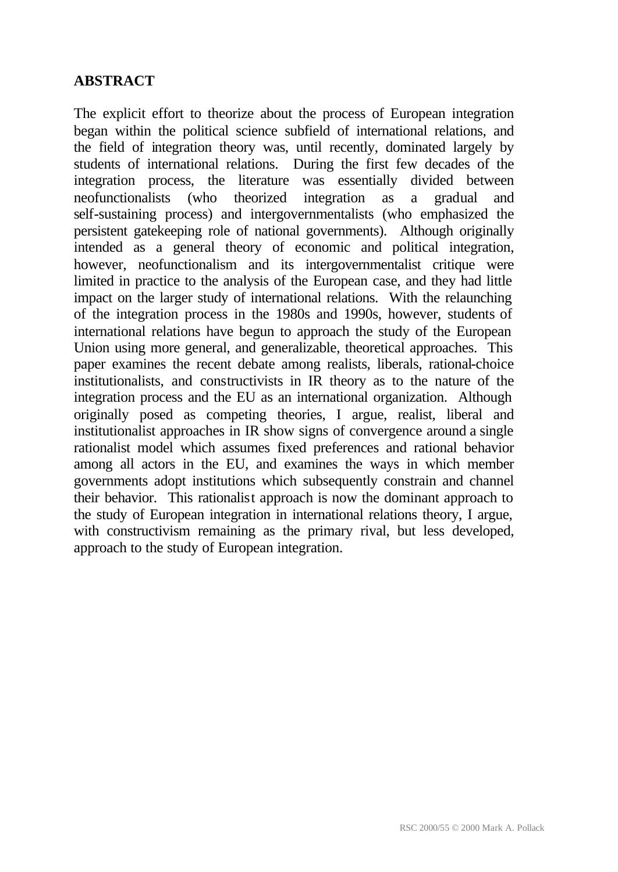## **ABSTRACT**

The explicit effort to theorize about the process of European integration began within the political science subfield of international relations, and the field of integration theory was, until recently, dominated largely by students of international relations. During the first few decades of the integration process, the literature was essentially divided between neofunctionalists (who theorized integration as a gradual and self-sustaining process) and intergovernmentalists (who emphasized the persistent gatekeeping role of national governments). Although originally intended as a general theory of economic and political integration, however, neofunctionalism and its intergovernmentalist critique were limited in practice to the analysis of the European case, and they had little impact on the larger study of international relations. With the relaunching of the integration process in the 1980s and 1990s, however, students of international relations have begun to approach the study of the European Union using more general, and generalizable, theoretical approaches. This paper examines the recent debate among realists, liberals, rational-choice institutionalists, and constructivists in IR theory as to the nature of the integration process and the EU as an international organization. Although originally posed as competing theories, I argue, realist, liberal and institutionalist approaches in IR show signs of convergence around a single rationalist model which assumes fixed preferences and rational behavior among all actors in the EU, and examines the ways in which member governments adopt institutions which subsequently constrain and channel their behavior. This rationalist approach is now the dominant approach to the study of European integration in international relations theory, I argue, with constructivism remaining as the primary rival, but less developed, approach to the study of European integration.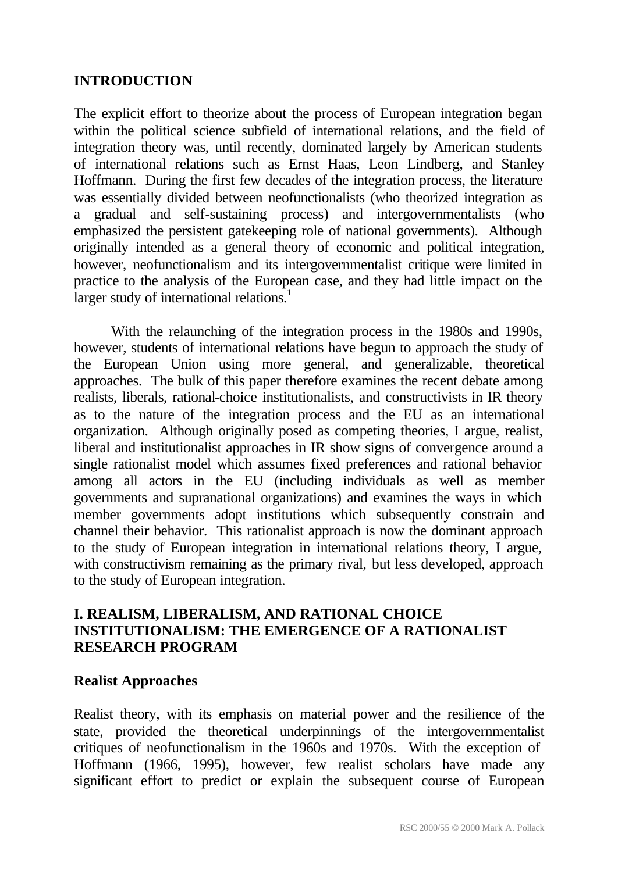#### **INTRODUCTION**

The explicit effort to theorize about the process of European integration began within the political science subfield of international relations, and the field of integration theory was, until recently, dominated largely by American students of international relations such as Ernst Haas, Leon Lindberg, and Stanley Hoffmann. During the first few decades of the integration process, the literature was essentially divided between neofunctionalists (who theorized integration as a gradual and self-sustaining process) and intergovernmentalists (who emphasized the persistent gatekeeping role of national governments). Although originally intended as a general theory of economic and political integration, however, neofunctionalism and its intergovernmentalist critique were limited in practice to the analysis of the European case, and they had little impact on the larger study of international relations.<sup>1</sup>

With the relaunching of the integration process in the 1980s and 1990s, however, students of international relations have begun to approach the study of the European Union using more general, and generalizable, theoretical approaches. The bulk of this paper therefore examines the recent debate among realists, liberals, rational-choice institutionalists, and constructivists in IR theory as to the nature of the integration process and the EU as an international organization. Although originally posed as competing theories, I argue, realist, liberal and institutionalist approaches in IR show signs of convergence around a single rationalist model which assumes fixed preferences and rational behavior among all actors in the EU (including individuals as well as member governments and supranational organizations) and examines the ways in which member governments adopt institutions which subsequently constrain and channel their behavior. This rationalist approach is now the dominant approach to the study of European integration in international relations theory, I argue, with constructivism remaining as the primary rival, but less developed, approach to the study of European integration.

## **I. REALISM, LIBERALISM, AND RATIONAL CHOICE INSTITUTIONALISM: THE EMERGENCE OF A RATIONALIST RESEARCH PROGRAM**

#### **Realist Approaches**

Realist theory, with its emphasis on material power and the resilience of the state, provided the theoretical underpinnings of the intergovernmentalist critiques of neofunctionalism in the 1960s and 1970s. With the exception of Hoffmann (1966, 1995), however, few realist scholars have made any significant effort to predict or explain the subsequent course of European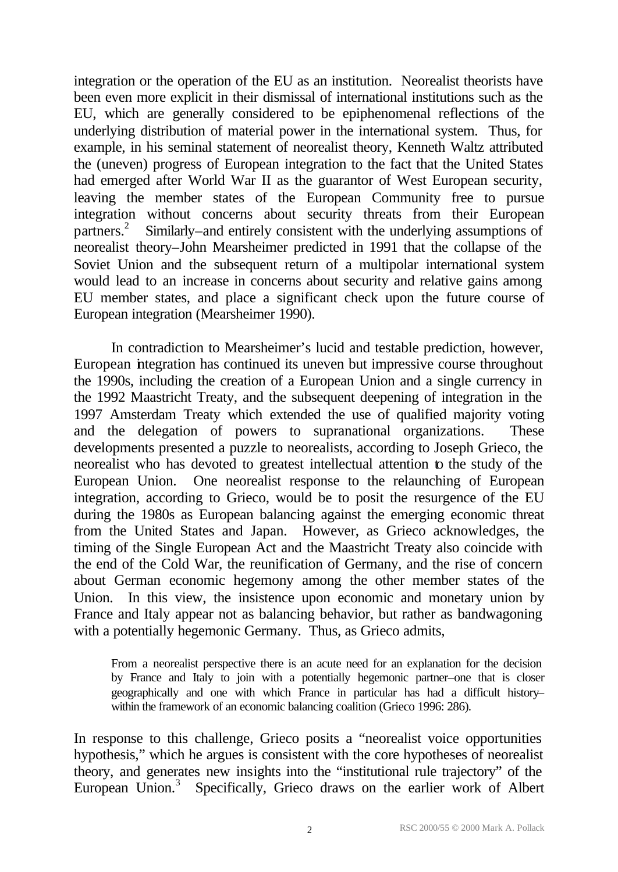integration or the operation of the EU as an institution. Neorealist theorists have been even more explicit in their dismissal of international institutions such as the EU, which are generally considered to be epiphenomenal reflections of the underlying distribution of material power in the international system. Thus, for example, in his seminal statement of neorealist theory, Kenneth Waltz attributed the (uneven) progress of European integration to the fact that the United States had emerged after World War II as the guarantor of West European security, leaving the member states of the European Community free to pursue integration without concerns about security threats from their European partners.<sup>2</sup> Similarly–and entirely consistent with the underlying assumptions of neorealist theory–John Mearsheimer predicted in 1991 that the collapse of the Soviet Union and the subsequent return of a multipolar international system would lead to an increase in concerns about security and relative gains among EU member states, and place a significant check upon the future course of European integration (Mearsheimer 1990).

In contradiction to Mearsheimer's lucid and testable prediction, however, European integration has continued its uneven but impressive course throughout the 1990s, including the creation of a European Union and a single currency in the 1992 Maastricht Treaty, and the subsequent deepening of integration in the 1997 Amsterdam Treaty which extended the use of qualified majority voting and the delegation of powers to supranational organizations. These developments presented a puzzle to neorealists, according to Joseph Grieco, the neorealist who has devoted to greatest intellectual attention to the study of the European Union. One neorealist response to the relaunching of European integration, according to Grieco, would be to posit the resurgence of the EU during the 1980s as European balancing against the emerging economic threat from the United States and Japan. However, as Grieco acknowledges, the timing of the Single European Act and the Maastricht Treaty also coincide with the end of the Cold War, the reunification of Germany, and the rise of concern about German economic hegemony among the other member states of the Union. In this view, the insistence upon economic and monetary union by France and Italy appear not as balancing behavior, but rather as bandwagoning with a potentially hegemonic Germany. Thus, as Grieco admits,

From a neorealist perspective there is an acute need for an explanation for the decision by France and Italy to join with a potentially hegemonic partner–one that is closer geographically and one with which France in particular has had a difficult history– within the framework of an economic balancing coalition (Grieco 1996: 286).

In response to this challenge, Grieco posits a "neorealist voice opportunities hypothesis," which he argues is consistent with the core hypotheses of neorealist theory, and generates new insights into the "institutional rule trajectory" of the European Union.<sup>3</sup> Specifically, Grieco draws on the earlier work of Albert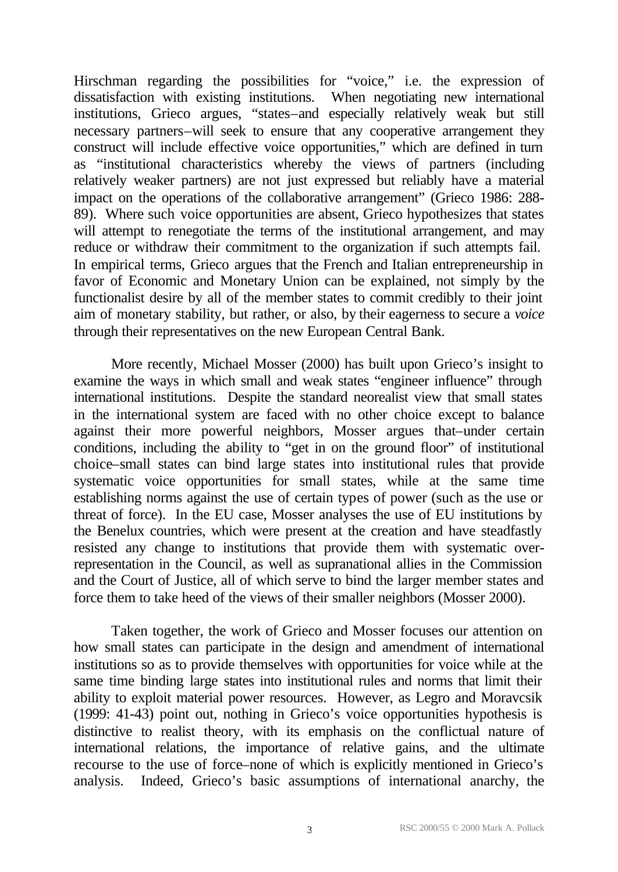Hirschman regarding the possibilities for "voice," i.e. the expression of dissatisfaction with existing institutions. When negotiating new international institutions, Grieco argues, "states–and especially relatively weak but still necessary partners–will seek to ensure that any cooperative arrangement they construct will include effective voice opportunities," which are defined in turn as "institutional characteristics whereby the views of partners (including relatively weaker partners) are not just expressed but reliably have a material impact on the operations of the collaborative arrangement" (Grieco 1986: 288- 89). Where such voice opportunities are absent, Grieco hypothesizes that states will attempt to renegotiate the terms of the institutional arrangement, and may reduce or withdraw their commitment to the organization if such attempts fail. In empirical terms, Grieco argues that the French and Italian entrepreneurship in favor of Economic and Monetary Union can be explained, not simply by the functionalist desire by all of the member states to commit credibly to their joint aim of monetary stability, but rather, or also, by their eagerness to secure a *voice* through their representatives on the new European Central Bank.

More recently, Michael Mosser (2000) has built upon Grieco's insight to examine the ways in which small and weak states "engineer influence" through international institutions. Despite the standard neorealist view that small states in the international system are faced with no other choice except to balance against their more powerful neighbors, Mosser argues that–under certain conditions, including the ability to "get in on the ground floor" of institutional choice–small states can bind large states into institutional rules that provide systematic voice opportunities for small states, while at the same time establishing norms against the use of certain types of power (such as the use or threat of force). In the EU case, Mosser analyses the use of EU institutions by the Benelux countries, which were present at the creation and have steadfastly resisted any change to institutions that provide them with systematic overrepresentation in the Council, as well as supranational allies in the Commission and the Court of Justice, all of which serve to bind the larger member states and force them to take heed of the views of their smaller neighbors (Mosser 2000).

Taken together, the work of Grieco and Mosser focuses our attention on how small states can participate in the design and amendment of international institutions so as to provide themselves with opportunities for voice while at the same time binding large states into institutional rules and norms that limit their ability to exploit material power resources. However, as Legro and Moravcsik (1999: 41-43) point out, nothing in Grieco's voice opportunities hypothesis is distinctive to realist theory, with its emphasis on the conflictual nature of international relations, the importance of relative gains, and the ultimate recourse to the use of force–none of which is explicitly mentioned in Grieco's analysis. Indeed, Grieco's basic assumptions of international anarchy, the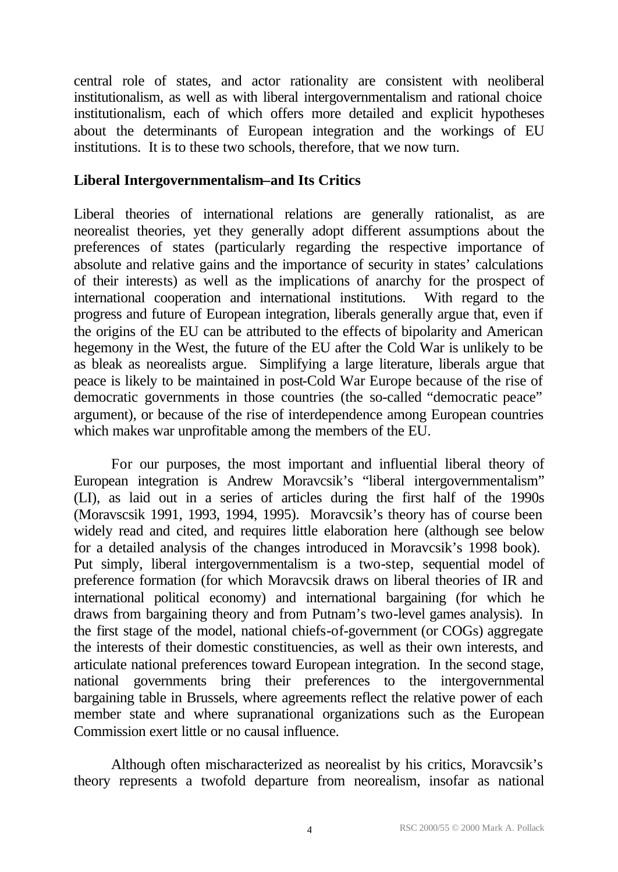central role of states, and actor rationality are consistent with neoliberal institutionalism, as well as with liberal intergovernmentalism and rational choice institutionalism, each of which offers more detailed and explicit hypotheses about the determinants of European integration and the workings of EU institutions. It is to these two schools, therefore, that we now turn.

### **Liberal Intergovernmentalism–and Its Critics**

Liberal theories of international relations are generally rationalist, as are neorealist theories, yet they generally adopt different assumptions about the preferences of states (particularly regarding the respective importance of absolute and relative gains and the importance of security in states' calculations of their interests) as well as the implications of anarchy for the prospect of international cooperation and international institutions. With regard to the progress and future of European integration, liberals generally argue that, even if the origins of the EU can be attributed to the effects of bipolarity and American hegemony in the West, the future of the EU after the Cold War is unlikely to be as bleak as neorealists argue. Simplifying a large literature, liberals argue that peace is likely to be maintained in post-Cold War Europe because of the rise of democratic governments in those countries (the so-called "democratic peace" argument), or because of the rise of interdependence among European countries which makes war unprofitable among the members of the EU.

For our purposes, the most important and influential liberal theory of European integration is Andrew Moravcsik's "liberal intergovernmentalism" (LI), as laid out in a series of articles during the first half of the 1990s (Moravscsik 1991, 1993, 1994, 1995). Moravcsik's theory has of course been widely read and cited, and requires little elaboration here (although see below for a detailed analysis of the changes introduced in Moravcsik's 1998 book). Put simply, liberal intergovernmentalism is a two-step, sequential model of preference formation (for which Moravcsik draws on liberal theories of IR and international political economy) and international bargaining (for which he draws from bargaining theory and from Putnam's two-level games analysis). In the first stage of the model, national chiefs-of-government (or COGs) aggregate the interests of their domestic constituencies, as well as their own interests, and articulate national preferences toward European integration. In the second stage, national governments bring their preferences to the intergovernmental bargaining table in Brussels, where agreements reflect the relative power of each member state and where supranational organizations such as the European Commission exert little or no causal influence.

Although often mischaracterized as neorealist by his critics, Moravcsik's theory represents a twofold departure from neorealism, insofar as national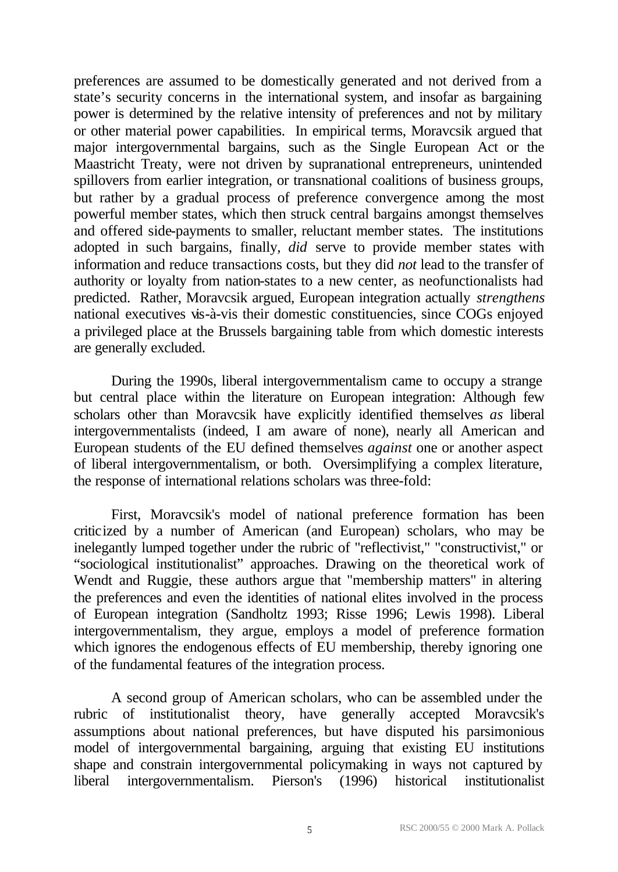preferences are assumed to be domestically generated and not derived from a state's security concerns in the international system, and insofar as bargaining power is determined by the relative intensity of preferences and not by military or other material power capabilities. In empirical terms, Moravcsik argued that major intergovernmental bargains, such as the Single European Act or the Maastricht Treaty, were not driven by supranational entrepreneurs, unintended spillovers from earlier integration, or transnational coalitions of business groups, but rather by a gradual process of preference convergence among the most powerful member states, which then struck central bargains amongst themselves and offered side-payments to smaller, reluctant member states. The institutions adopted in such bargains, finally, *did* serve to provide member states with information and reduce transactions costs, but they did *not* lead to the transfer of authority or loyalty from nation-states to a new center, as neofunctionalists had predicted. Rather, Moravcsik argued, European integration actually *strengthens* national executives vis-à-vis their domestic constituencies, since COGs enjoyed a privileged place at the Brussels bargaining table from which domestic interests are generally excluded.

During the 1990s, liberal intergovernmentalism came to occupy a strange but central place within the literature on European integration: Although few scholars other than Moravcsik have explicitly identified themselves *as* liberal intergovernmentalists (indeed, I am aware of none), nearly all American and European students of the EU defined themselves *against* one or another aspect of liberal intergovernmentalism, or both. Oversimplifying a complex literature, the response of international relations scholars was three-fold:

First, Moravcsik's model of national preference formation has been criticized by a number of American (and European) scholars, who may be inelegantly lumped together under the rubric of "reflectivist," "constructivist," or "sociological institutionalist" approaches. Drawing on the theoretical work of Wendt and Ruggie, these authors argue that "membership matters" in altering the preferences and even the identities of national elites involved in the process of European integration (Sandholtz 1993; Risse 1996; Lewis 1998). Liberal intergovernmentalism, they argue, employs a model of preference formation which ignores the endogenous effects of EU membership, thereby ignoring one of the fundamental features of the integration process.

A second group of American scholars, who can be assembled under the rubric of institutionalist theory, have generally accepted Moravcsik's assumptions about national preferences, but have disputed his parsimonious model of intergovernmental bargaining, arguing that existing EU institutions shape and constrain intergovernmental policymaking in ways not captured by liberal intergovernmentalism. Pierson's (1996) historical institutionalist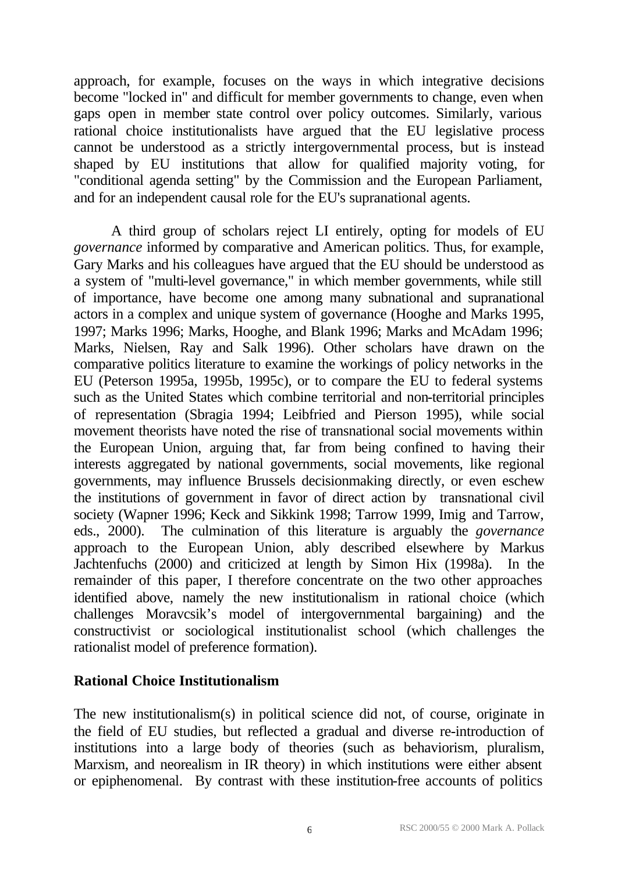approach, for example, focuses on the ways in which integrative decisions become "locked in" and difficult for member governments to change, even when gaps open in member state control over policy outcomes. Similarly, various rational choice institutionalists have argued that the EU legislative process cannot be understood as a strictly intergovernmental process, but is instead shaped by EU institutions that allow for qualified majority voting, for "conditional agenda setting" by the Commission and the European Parliament, and for an independent causal role for the EU's supranational agents.

A third group of scholars reject LI entirely, opting for models of EU *governance* informed by comparative and American politics. Thus, for example, Gary Marks and his colleagues have argued that the EU should be understood as a system of "multi-level governance," in which member governments, while still of importance, have become one among many subnational and supranational actors in a complex and unique system of governance (Hooghe and Marks 1995, 1997; Marks 1996; Marks, Hooghe, and Blank 1996; Marks and McAdam 1996; Marks, Nielsen, Ray and Salk 1996). Other scholars have drawn on the comparative politics literature to examine the workings of policy networks in the EU (Peterson 1995a, 1995b, 1995c), or to compare the EU to federal systems such as the United States which combine territorial and non-territorial principles of representation (Sbragia 1994; Leibfried and Pierson 1995), while social movement theorists have noted the rise of transnational social movements within the European Union, arguing that, far from being confined to having their interests aggregated by national governments, social movements, like regional governments, may influence Brussels decisionmaking directly, or even eschew the institutions of government in favor of direct action by transnational civil society (Wapner 1996; Keck and Sikkink 1998; Tarrow 1999, Imig and Tarrow, eds., 2000). The culmination of this literature is arguably the *governance* approach to the European Union, ably described elsewhere by Markus Jachtenfuchs (2000) and criticized at length by Simon Hix (1998a). In the remainder of this paper, I therefore concentrate on the two other approaches identified above, namely the new institutionalism in rational choice (which challenges Moravcsik's model of intergovernmental bargaining) and the constructivist or sociological institutionalist school (which challenges the rationalist model of preference formation).

#### **Rational Choice Institutionalism**

The new institutionalism(s) in political science did not, of course, originate in the field of EU studies, but reflected a gradual and diverse re-introduction of institutions into a large body of theories (such as behaviorism, pluralism, Marxism, and neorealism in IR theory) in which institutions were either absent or epiphenomenal. By contrast with these institution-free accounts of politics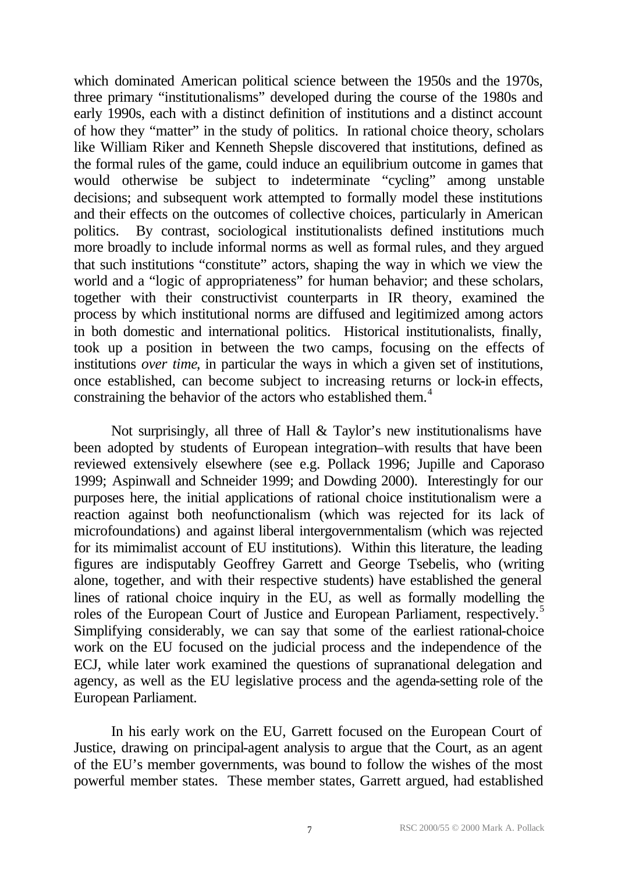which dominated American political science between the 1950s and the 1970s, three primary "institutionalisms" developed during the course of the 1980s and early 1990s, each with a distinct definition of institutions and a distinct account of how they "matter" in the study of politics. In rational choice theory, scholars like William Riker and Kenneth Shepsle discovered that institutions, defined as the formal rules of the game, could induce an equilibrium outcome in games that would otherwise be subject to indeterminate "cycling" among unstable decisions; and subsequent work attempted to formally model these institutions and their effects on the outcomes of collective choices, particularly in American politics. By contrast, sociological institutionalists defined institutions much more broadly to include informal norms as well as formal rules, and they argued that such institutions "constitute" actors, shaping the way in which we view the world and a "logic of appropriateness" for human behavior; and these scholars, together with their constructivist counterparts in IR theory, examined the process by which institutional norms are diffused and legitimized among actors in both domestic and international politics. Historical institutionalists, finally, took up a position in between the two camps, focusing on the effects of institutions *over time*, in particular the ways in which a given set of institutions, once established, can become subject to increasing returns or lock-in effects, constraining the behavior of the actors who established them.<sup>4</sup>

Not surprisingly, all three of Hall & Taylor's new institutionalisms have been adopted by students of European integration–with results that have been reviewed extensively elsewhere (see e.g. Pollack 1996; Jupille and Caporaso 1999; Aspinwall and Schneider 1999; and Dowding 2000). Interestingly for our purposes here, the initial applications of rational choice institutionalism were a reaction against both neofunctionalism (which was rejected for its lack of microfoundations) and against liberal intergovernmentalism (which was rejected for its mimimalist account of EU institutions). Within this literature, the leading figures are indisputably Geoffrey Garrett and George Tsebelis, who (writing alone, together, and with their respective students) have established the general lines of rational choice inquiry in the EU, as well as formally modelling the roles of the European Court of Justice and European Parliament, respectively.<sup>5</sup> Simplifying considerably, we can say that some of the earliest rational-choice work on the EU focused on the judicial process and the independence of the ECJ, while later work examined the questions of supranational delegation and agency, as well as the EU legislative process and the agenda-setting role of the European Parliament.

In his early work on the EU, Garrett focused on the European Court of Justice, drawing on principal-agent analysis to argue that the Court, as an agent of the EU's member governments, was bound to follow the wishes of the most powerful member states. These member states, Garrett argued, had established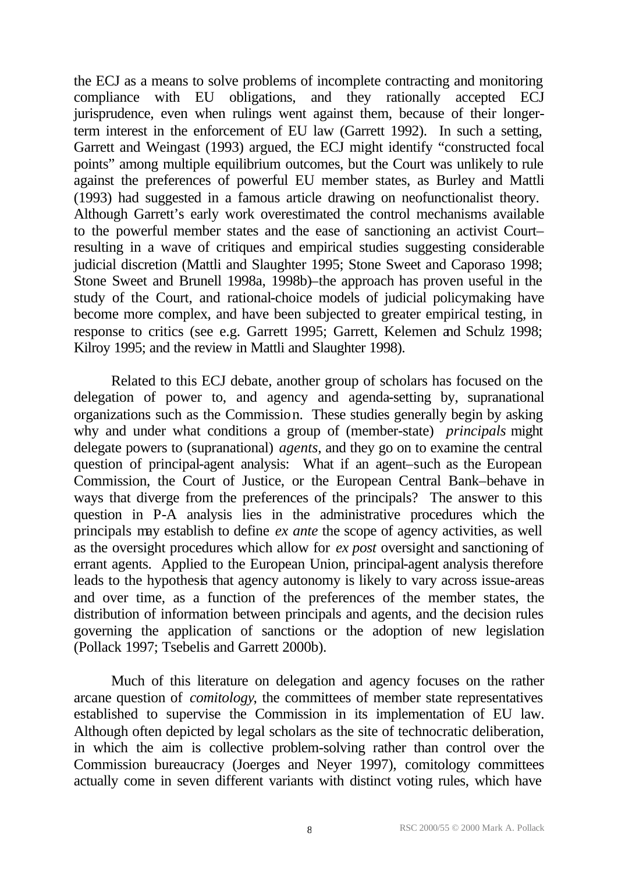the ECJ as a means to solve problems of incomplete contracting and monitoring compliance with EU obligations, and they rationally accepted ECJ jurisprudence, even when rulings went against them, because of their longerterm interest in the enforcement of EU law (Garrett 1992). In such a setting, Garrett and Weingast (1993) argued, the ECJ might identify "constructed focal points" among multiple equilibrium outcomes, but the Court was unlikely to rule against the preferences of powerful EU member states, as Burley and Mattli (1993) had suggested in a famous article drawing on neofunctionalist theory. Although Garrett's early work overestimated the control mechanisms available to the powerful member states and the ease of sanctioning an activist Court– resulting in a wave of critiques and empirical studies suggesting considerable judicial discretion (Mattli and Slaughter 1995; Stone Sweet and Caporaso 1998; Stone Sweet and Brunell 1998a, 1998b)–the approach has proven useful in the study of the Court, and rational-choice models of judicial policymaking have become more complex, and have been subjected to greater empirical testing, in response to critics (see e.g. Garrett 1995; Garrett, Kelemen and Schulz 1998; Kilroy 1995; and the review in Mattli and Slaughter 1998).

Related to this ECJ debate, another group of scholars has focused on the delegation of power to, and agency and agenda-setting by, supranational organizations such as the Commission. These studies generally begin by asking why and under what conditions a group of (member-state) *principals* might delegate powers to (supranational) *agents*, and they go on to examine the central question of principal-agent analysis: What if an agent–such as the European Commission, the Court of Justice, or the European Central Bank–behave in ways that diverge from the preferences of the principals? The answer to this question in P-A analysis lies in the administrative procedures which the principals may establish to define *ex ante* the scope of agency activities, as well as the oversight procedures which allow for *ex post* oversight and sanctioning of errant agents. Applied to the European Union, principal-agent analysis therefore leads to the hypothesis that agency autonomy is likely to vary across issue-areas and over time, as a function of the preferences of the member states, the distribution of information between principals and agents, and the decision rules governing the application of sanctions or the adoption of new legislation (Pollack 1997; Tsebelis and Garrett 2000b).

Much of this literature on delegation and agency focuses on the rather arcane question of *comitology*, the committees of member state representatives established to supervise the Commission in its implementation of EU law. Although often depicted by legal scholars as the site of technocratic deliberation, in which the aim is collective problem-solving rather than control over the Commission bureaucracy (Joerges and Neyer 1997), comitology committees actually come in seven different variants with distinct voting rules, which have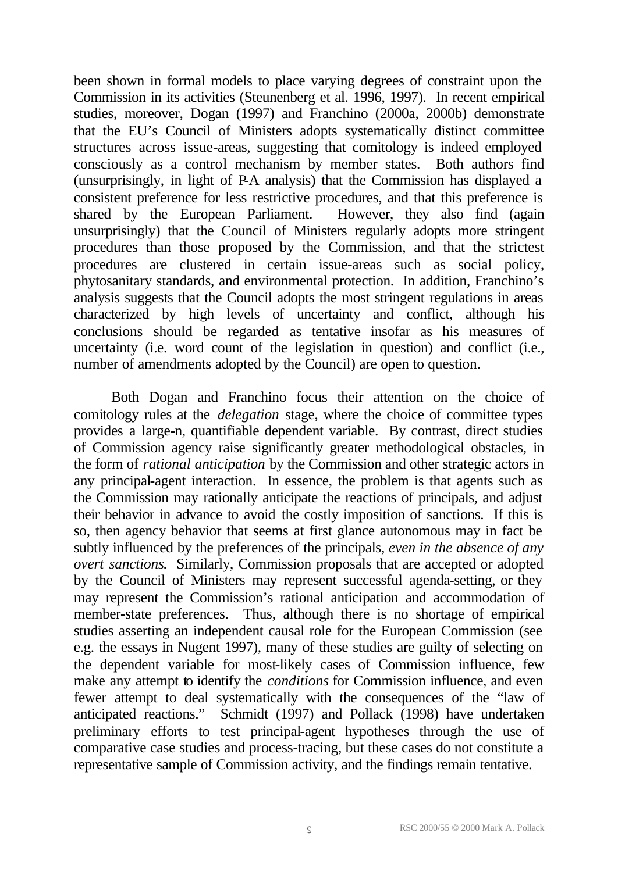been shown in formal models to place varying degrees of constraint upon the Commission in its activities (Steunenberg et al. 1996, 1997). In recent empirical studies, moreover, Dogan (1997) and Franchino (2000a, 2000b) demonstrate that the EU's Council of Ministers adopts systematically distinct committee structures across issue-areas, suggesting that comitology is indeed employed consciously as a control mechanism by member states. Both authors find (unsurprisingly, in light of P-A analysis) that the Commission has displayed a consistent preference for less restrictive procedures, and that this preference is shared by the European Parliament. However, they also find (again shared by the European Parliament. unsurprisingly) that the Council of Ministers regularly adopts more stringent procedures than those proposed by the Commission, and that the strictest procedures are clustered in certain issue-areas such as social policy, phytosanitary standards, and environmental protection. In addition, Franchino's analysis suggests that the Council adopts the most stringent regulations in areas characterized by high levels of uncertainty and conflict, although his conclusions should be regarded as tentative insofar as his measures of uncertainty (i.e. word count of the legislation in question) and conflict (i.e., number of amendments adopted by the Council) are open to question.

Both Dogan and Franchino focus their attention on the choice of comitology rules at the *delegation* stage, where the choice of committee types provides a large-n, quantifiable dependent variable. By contrast, direct studies of Commission agency raise significantly greater methodological obstacles, in the form of *rational anticipation* by the Commission and other strategic actors in any principal-agent interaction. In essence, the problem is that agents such as the Commission may rationally anticipate the reactions of principals, and adjust their behavior in advance to avoid the costly imposition of sanctions. If this is so, then agency behavior that seems at first glance autonomous may in fact be subtly influenced by the preferences of the principals, *even in the absence of any overt sanctions*. Similarly, Commission proposals that are accepted or adopted by the Council of Ministers may represent successful agenda-setting, or they may represent the Commission's rational anticipation and accommodation of member-state preferences. Thus, although there is no shortage of empirical studies asserting an independent causal role for the European Commission (see e.g. the essays in Nugent 1997), many of these studies are guilty of selecting on the dependent variable for most-likely cases of Commission influence, few make any attempt to identify the *conditions* for Commission influence, and even fewer attempt to deal systematically with the consequences of the "law of anticipated reactions." Schmidt (1997) and Pollack (1998) have undertaken preliminary efforts to test principal-agent hypotheses through the use of comparative case studies and process-tracing, but these cases do not constitute a representative sample of Commission activity, and the findings remain tentative.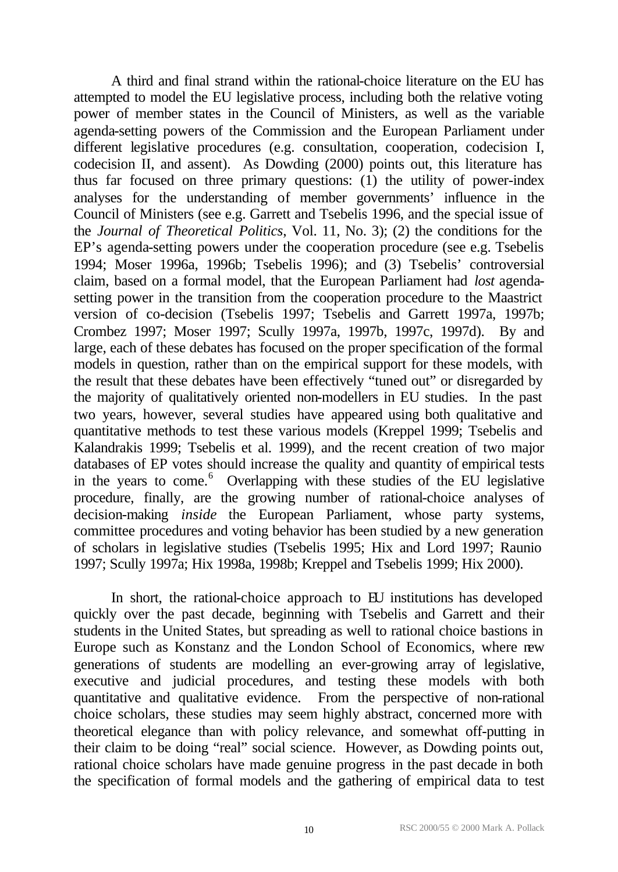A third and final strand within the rational-choice literature on the EU has attempted to model the EU legislative process, including both the relative voting power of member states in the Council of Ministers, as well as the variable agenda-setting powers of the Commission and the European Parliament under different legislative procedures (e.g. consultation, cooperation, codecision I, codecision II, and assent). As Dowding (2000) points out, this literature has thus far focused on three primary questions:  $(1)$  the utility of power-index analyses for the understanding of member governments' influence in the Council of Ministers (see e.g. Garrett and Tsebelis 1996, and the special issue of the *Journal of Theoretical Politics*, Vol. 11, No. 3); (2) the conditions for the EP's agenda-setting powers under the cooperation procedure (see e.g. Tsebelis 1994; Moser 1996a, 1996b; Tsebelis 1996); and (3) Tsebelis' controversial claim, based on a formal model, that the European Parliament had *lost* agendasetting power in the transition from the cooperation procedure to the Maastrict version of co-decision (Tsebelis 1997; Tsebelis and Garrett 1997a, 1997b; Crombez 1997; Moser 1997; Scully 1997a, 1997b, 1997c, 1997d). By and large, each of these debates has focused on the proper specification of the formal models in question, rather than on the empirical support for these models, with the result that these debates have been effectively "tuned out" or disregarded by the majority of qualitatively oriented non-modellers in EU studies. In the past two years, however, several studies have appeared using both qualitative and quantitative methods to test these various models (Kreppel 1999; Tsebelis and Kalandrakis 1999; Tsebelis et al. 1999), and the recent creation of two major databases of EP votes should increase the quality and quantity of empirical tests in the years to come.<sup>6</sup> Overlapping with these studies of the EU legislative procedure, finally, are the growing number of rational-choice analyses of decision-making *inside* the European Parliament, whose party systems, committee procedures and voting behavior has been studied by a new generation of scholars in legislative studies (Tsebelis 1995; Hix and Lord 1997; Raunio 1997; Scully 1997a; Hix 1998a, 1998b; Kreppel and Tsebelis 1999; Hix 2000).

In short, the rational-choice approach to EU institutions has developed quickly over the past decade, beginning with Tsebelis and Garrett and their students in the United States, but spreading as well to rational choice bastions in Europe such as Konstanz and the London School of Economics, where new generations of students are modelling an ever-growing array of legislative, executive and judicial procedures, and testing these models with both quantitative and qualitative evidence. From the perspective of non-rational choice scholars, these studies may seem highly abstract, concerned more with theoretical elegance than with policy relevance, and somewhat off-putting in their claim to be doing "real" social science. However, as Dowding points out, rational choice scholars have made genuine progress in the past decade in both the specification of formal models and the gathering of empirical data to test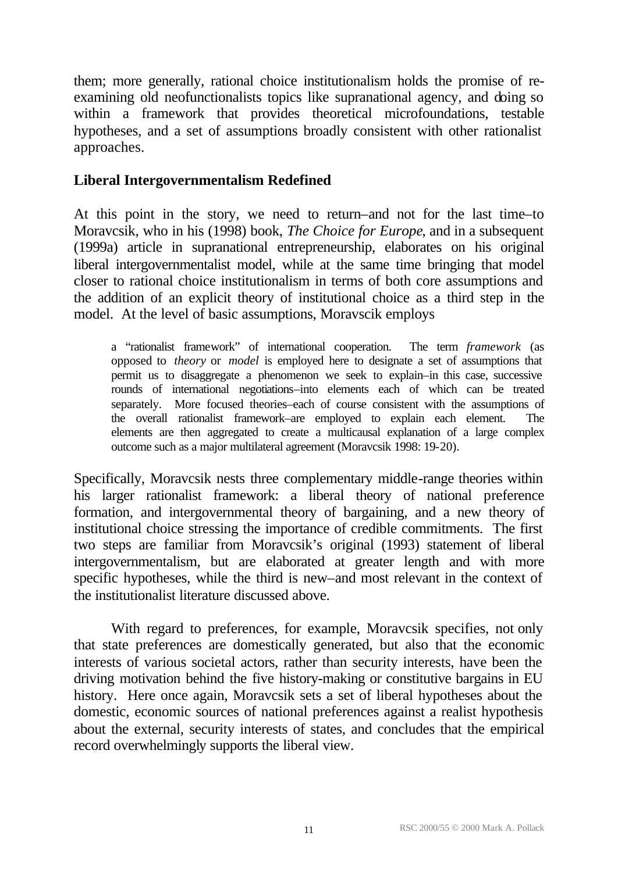them; more generally, rational choice institutionalism holds the promise of reexamining old neofunctionalists topics like supranational agency, and doing so within a framework that provides theoretical microfoundations, testable hypotheses, and a set of assumptions broadly consistent with other rationalist approaches.

## **Liberal Intergovernmentalism Redefined**

At this point in the story, we need to return–and not for the last time–to Moravcsik, who in his (1998) book, *The Choice for Europe*, and in a subsequent (1999a) article in supranational entrepreneurship, elaborates on his original liberal intergovernmentalist model, while at the same time bringing that model closer to rational choice institutionalism in terms of both core assumptions and the addition of an explicit theory of institutional choice as a third step in the model. At the level of basic assumptions, Moravscik employs

a "rationalist framework" of international cooperation. The term *framework* (as opposed to *theory* or *model* is employed here to designate a set of assumptions that permit us to disaggregate a phenomenon we seek to explain–in this case, successive rounds of international negotiations–into elements each of which can be treated separately. More focused theories–each of course consistent with the assumptions of the overall rationalist framework–are employed to explain each element. The elements are then aggregated to create a multicausal explanation of a large complex outcome such as a major multilateral agreement (Moravcsik 1998: 19-20).

Specifically, Moravcsik nests three complementary middle-range theories within his larger rationalist framework: a liberal theory of national preference formation, and intergovernmental theory of bargaining, and a new theory of institutional choice stressing the importance of credible commitments. The first two steps are familiar from Moravcsik's original (1993) statement of liberal intergovernmentalism, but are elaborated at greater length and with more specific hypotheses, while the third is new–and most relevant in the context of the institutionalist literature discussed above.

With regard to preferences, for example, Moravcsik specifies, not only that state preferences are domestically generated, but also that the economic interests of various societal actors, rather than security interests, have been the driving motivation behind the five history-making or constitutive bargains in EU history. Here once again, Moravcsik sets a set of liberal hypotheses about the domestic, economic sources of national preferences against a realist hypothesis about the external, security interests of states, and concludes that the empirical record overwhelmingly supports the liberal view.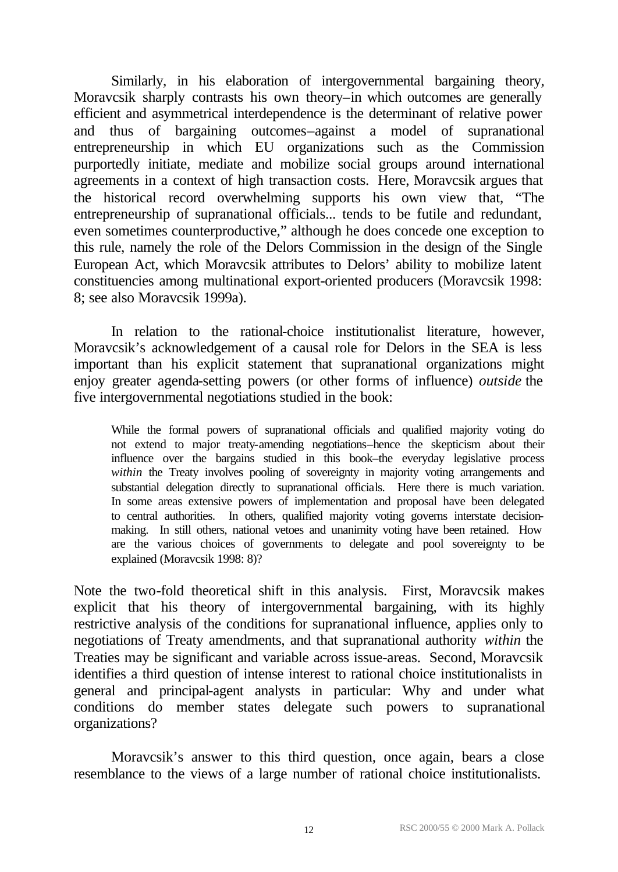Similarly, in his elaboration of intergovernmental bargaining theory, Moravcsik sharply contrasts his own theory–in which outcomes are generally efficient and asymmetrical interdependence is the determinant of relative power and thus of bargaining outcomes–against a model of supranational entrepreneurship in which EU organizations such as the Commission purportedly initiate, mediate and mobilize social groups around international agreements in a context of high transaction costs. Here, Moravcsik argues that the historical record overwhelming supports his own view that, "The entrepreneurship of supranational officials... tends to be futile and redundant, even sometimes counterproductive," although he does concede one exception to this rule, namely the role of the Delors Commission in the design of the Single European Act, which Moravcsik attributes to Delors' ability to mobilize latent constituencies among multinational export-oriented producers (Moravcsik 1998: 8; see also Moravcsik 1999a).

In relation to the rational-choice institutionalist literature, however, Moravcsik's acknowledgement of a causal role for Delors in the SEA is less important than his explicit statement that supranational organizations might enjoy greater agenda-setting powers (or other forms of influence) *outside* the five intergovernmental negotiations studied in the book:

While the formal powers of supranational officials and qualified majority voting do not extend to major treaty-amending negotiations–hence the skepticism about their influence over the bargains studied in this book–the everyday legislative process *within* the Treaty involves pooling of sovereignty in majority voting arrangements and substantial delegation directly to supranational officials. Here there is much variation. In some areas extensive powers of implementation and proposal have been delegated to central authorities. In others, qualified majority voting governs interstate decisionmaking. In still others, national vetoes and unanimity voting have been retained. How are the various choices of governments to delegate and pool sovereignty to be explained (Moravcsik 1998: 8)?

Note the two-fold theoretical shift in this analysis. First, Moravcsik makes explicit that his theory of intergovernmental bargaining, with its highly restrictive analysis of the conditions for supranational influence, applies only to negotiations of Treaty amendments, and that supranational authority *within* the Treaties may be significant and variable across issue-areas. Second, Moravcsik identifies a third question of intense interest to rational choice institutionalists in general and principal-agent analysts in particular: Why and under what conditions do member states delegate such powers to supranational organizations?

Moravcsik's answer to this third question, once again, bears a close resemblance to the views of a large number of rational choice institutionalists.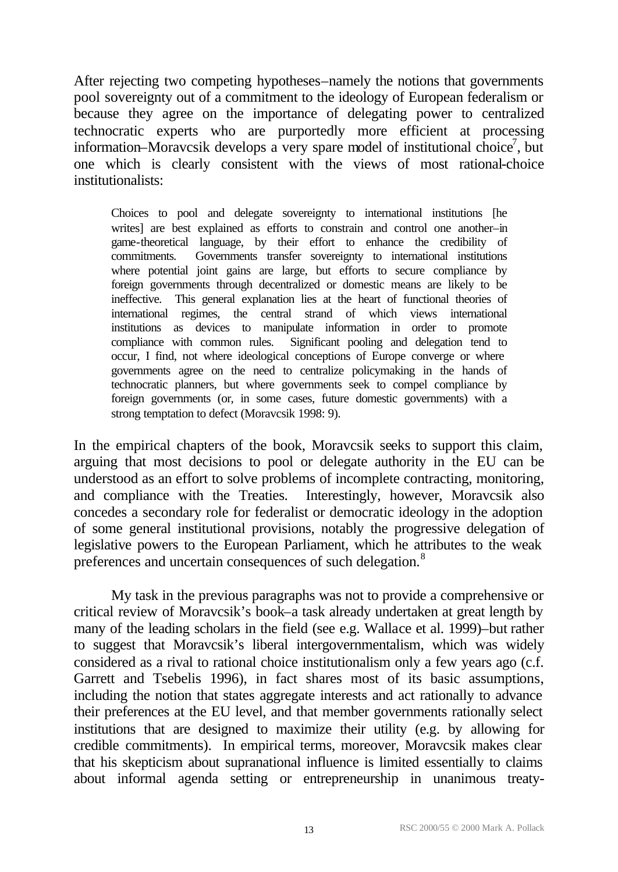After rejecting two competing hypotheses–namely the notions that governments pool sovereignty out of a commitment to the ideology of European federalism or because they agree on the importance of delegating power to centralized technocratic experts who are purportedly more efficient at processing information–Moravcsik develops a very spare model of institutional choice<sup>7</sup>, but one which is clearly consistent with the views of most rational-choice institutionalists:

Choices to pool and delegate sovereignty to international institutions [he writes] are best explained as efforts to constrain and control one another–in game-theoretical language, by their effort to enhance the credibility of commitments. Governments transfer sovereignty to international institutions where potential joint gains are large, but efforts to secure compliance by foreign governments through decentralized or domestic means are likely to be ineffective. This general explanation lies at the heart of functional theories of international regimes, the central strand of which views international institutions as devices to manipulate information in order to promote compliance with common rules. Significant pooling and delegation tend to occur, I find, not where ideological conceptions of Europe converge or where governments agree on the need to centralize policymaking in the hands of technocratic planners, but where governments seek to compel compliance by foreign governments (or, in some cases, future domestic governments) with a strong temptation to defect (Moravcsik 1998: 9).

In the empirical chapters of the book, Moravcsik seeks to support this claim, arguing that most decisions to pool or delegate authority in the EU can be understood as an effort to solve problems of incomplete contracting, monitoring, and compliance with the Treaties. Interestingly, however, Moravcsik also concedes a secondary role for federalist or democratic ideology in the adoption of some general institutional provisions, notably the progressive delegation of legislative powers to the European Parliament, which he attributes to the weak preferences and uncertain consequences of such delegation.<sup>8</sup>

My task in the previous paragraphs was not to provide a comprehensive or critical review of Moravcsik's book–a task already undertaken at great length by many of the leading scholars in the field (see e.g. Wallace et al. 1999)–but rather to suggest that Moravcsik's liberal intergovernmentalism, which was widely considered as a rival to rational choice institutionalism only a few years ago (c.f. Garrett and Tsebelis 1996), in fact shares most of its basic assumptions, including the notion that states aggregate interests and act rationally to advance their preferences at the EU level, and that member governments rationally select institutions that are designed to maximize their utility (e.g. by allowing for credible commitments). In empirical terms, moreover, Moravcsik makes clear that his skepticism about supranational influence is limited essentially to claims about informal agenda setting or entrepreneurship in unanimous treaty-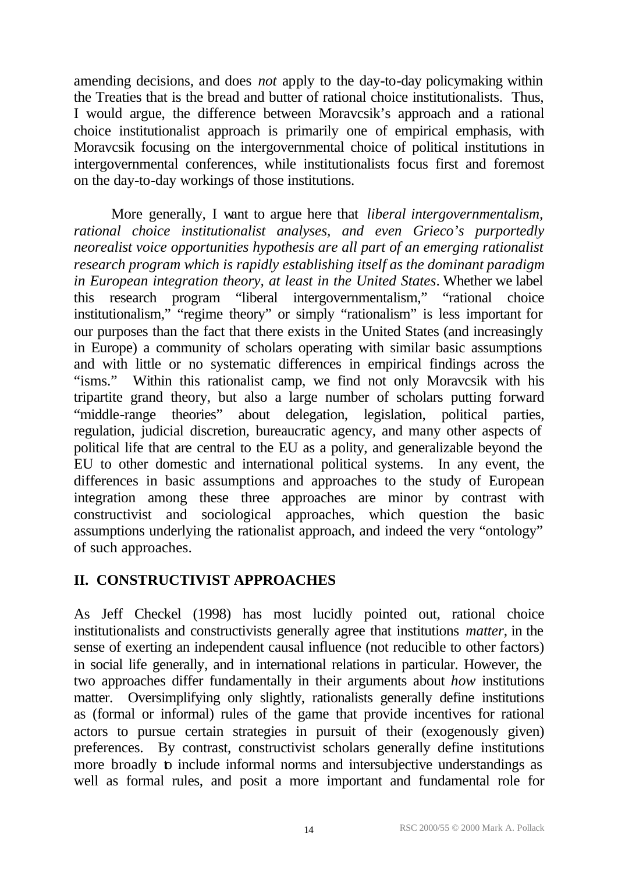amending decisions, and does *not* apply to the day-to-day policymaking within the Treaties that is the bread and butter of rational choice institutionalists. Thus, I would argue, the difference between Moravcsik's approach and a rational choice institutionalist approach is primarily one of empirical emphasis, with Moravcsik focusing on the intergovernmental choice of political institutions in intergovernmental conferences, while institutionalists focus first and foremost on the day-to-day workings of those institutions.

More generally, I want to argue here that *liberal intergovernmentalism, rational choice institutionalist analyses, and even Grieco's purportedly neorealist voice opportunities hypothesis are all part of an emerging rationalist research program which is rapidly establishing itself as the dominant paradigm in European integration theory, at least in the United States*. Whether we label this research program "liberal intergovernmentalism," "rational choice institutionalism," "regime theory" or simply "rationalism" is less important for our purposes than the fact that there exists in the United States (and increasingly in Europe) a community of scholars operating with similar basic assumptions and with little or no systematic differences in empirical findings across the "isms." Within this rationalist camp, we find not only Moravcsik with his tripartite grand theory, but also a large number of scholars putting forward "middle-range theories" about delegation, legislation, political parties, regulation, judicial discretion, bureaucratic agency, and many other aspects of political life that are central to the EU as a polity, and generalizable beyond the EU to other domestic and international political systems. In any event, the differences in basic assumptions and approaches to the study of European integration among these three approaches are minor by contrast with constructivist and sociological approaches, which question the basic assumptions underlying the rationalist approach, and indeed the very "ontology" of such approaches.

## **II. CONSTRUCTIVIST APPROACHES**

As Jeff Checkel (1998) has most lucidly pointed out, rational choice institutionalists and constructivists generally agree that institutions *matter*, in the sense of exerting an independent causal influence (not reducible to other factors) in social life generally, and in international relations in particular. However, the two approaches differ fundamentally in their arguments about *how* institutions matter. Oversimplifying only slightly, rationalists generally define institutions as (formal or informal) rules of the game that provide incentives for rational actors to pursue certain strategies in pursuit of their (exogenously given) preferences. By contrast, constructivist scholars generally define institutions more broadly to include informal norms and intersubjective understandings as well as formal rules, and posit a more important and fundamental role for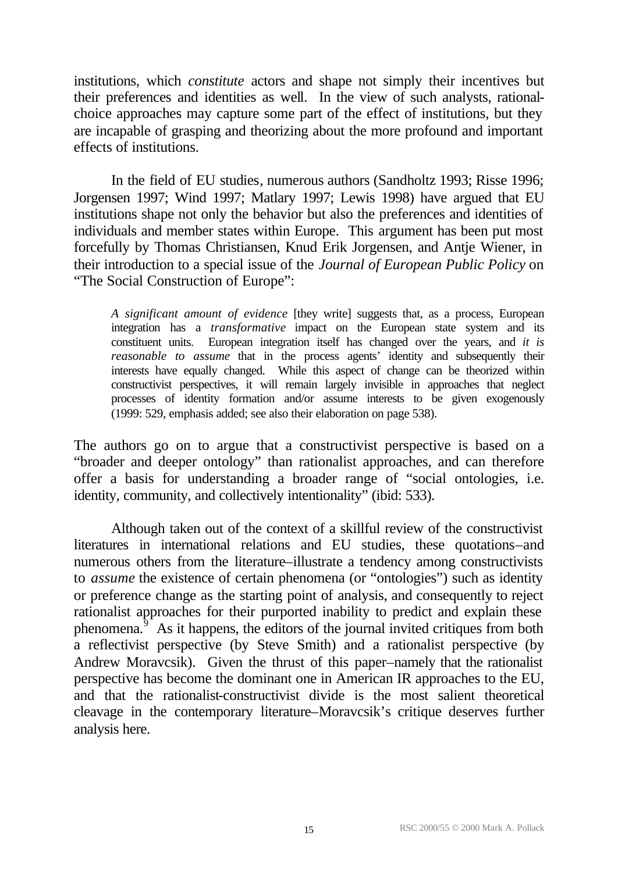institutions, which *constitute* actors and shape not simply their incentives but their preferences and identities as well. In the view of such analysts, rationalchoice approaches may capture some part of the effect of institutions, but they are incapable of grasping and theorizing about the more profound and important effects of institutions.

In the field of EU studies, numerous authors (Sandholtz 1993; Risse 1996; Jorgensen 1997; Wind 1997; Matlary 1997; Lewis 1998) have argued that EU institutions shape not only the behavior but also the preferences and identities of individuals and member states within Europe. This argument has been put most forcefully by Thomas Christiansen, Knud Erik Jorgensen, and Antje Wiener, in their introduction to a special issue of the *Journal of European Public Policy* on "The Social Construction of Europe":

*A significant amount of evidence* [they write] suggests that, as a process, European integration has a *transformative* impact on the European state system and its constituent units. European integration itself has changed over the years, and *it is reasonable to assume* that in the process agents' identity and subsequently their interests have equally changed. While this aspect of change can be theorized within constructivist perspectives, it will remain largely invisible in approaches that neglect processes of identity formation and/or assume interests to be given exogenously (1999: 529, emphasis added; see also their elaboration on page 538).

The authors go on to argue that a constructivist perspective is based on a "broader and deeper ontology" than rationalist approaches, and can therefore offer a basis for understanding a broader range of "social ontologies, i.e. identity, community, and collectively intentionality" (ibid: 533).

Although taken out of the context of a skillful review of the constructivist literatures in international relations and EU studies, these quotations–and numerous others from the literature–illustrate a tendency among constructivists to *assume* the existence of certain phenomena (or "ontologies") such as identity or preference change as the starting point of analysis, and consequently to reject rationalist approaches for their purported inability to predict and explain these phenomena. $9^{\circ}$  As it happens, the editors of the journal invited critiques from both a reflectivist perspective (by Steve Smith) and a rationalist perspective (by Andrew Moravcsik). Given the thrust of this paper–namely that the rationalist perspective has become the dominant one in American IR approaches to the EU, and that the rationalist-constructivist divide is the most salient theoretical cleavage in the contemporary literature–Moravcsik's critique deserves further analysis here.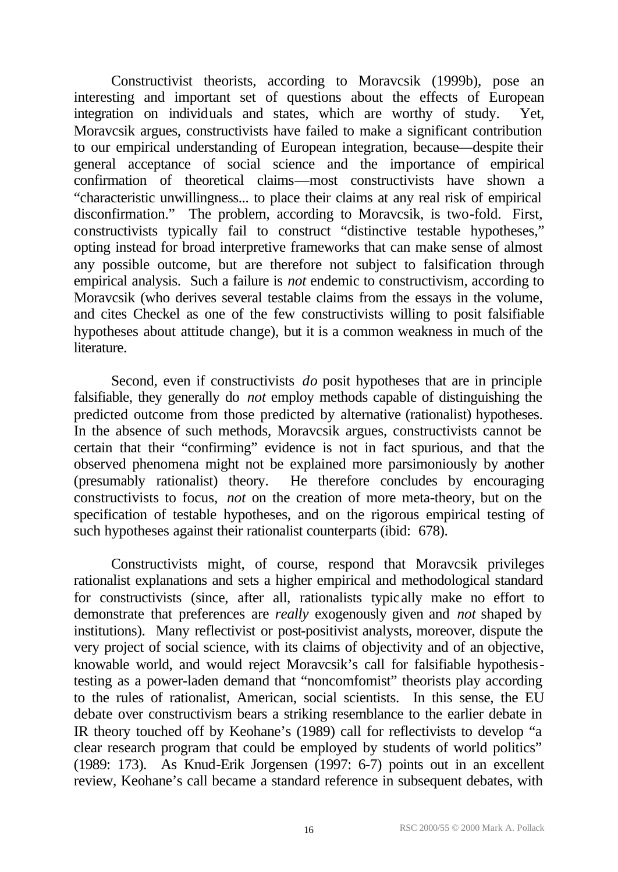Constructivist theorists, according to Moravcsik (1999b), pose an interesting and important set of questions about the effects of European integration on individuals and states, which are worthy of study. Yet, Moravcsik argues, constructivists have failed to make a significant contribution to our empirical understanding of European integration, because—despite their general acceptance of social science and the importance of empirical confirmation of theoretical claims—most constructivists have shown a "characteristic unwillingness... to place their claims at any real risk of empirical disconfirmation." The problem, according to Moravcsik, is two-fold. First, constructivists typically fail to construct "distinctive testable hypotheses," opting instead for broad interpretive frameworks that can make sense of almost any possible outcome, but are therefore not subject to falsification through empirical analysis. Such a failure is *not* endemic to constructivism, according to Moravcsik (who derives several testable claims from the essays in the volume, and cites Checkel as one of the few constructivists willing to posit falsifiable hypotheses about attitude change), but it is a common weakness in much of the literature.

Second, even if constructivists *do* posit hypotheses that are in principle falsifiable, they generally do *not* employ methods capable of distinguishing the predicted outcome from those predicted by alternative (rationalist) hypotheses. In the absence of such methods, Moravcsik argues, constructivists cannot be certain that their "confirming" evidence is not in fact spurious, and that the observed phenomena might not be explained more parsimoniously by another (presumably rationalist) theory. He therefore concludes by encouraging constructivists to focus, *not* on the creation of more meta-theory, but on the specification of testable hypotheses, and on the rigorous empirical testing of such hypotheses against their rationalist counterparts (ibid: 678).

Constructivists might, of course, respond that Moravcsik privileges rationalist explanations and sets a higher empirical and methodological standard for constructivists (since, after all, rationalists typically make no effort to demonstrate that preferences are *really* exogenously given and *not* shaped by institutions). Many reflectivist or post-positivist analysts, moreover, dispute the very project of social science, with its claims of objectivity and of an objective, knowable world, and would reject Moravcsik's call for falsifiable hypothesistesting as a power-laden demand that "noncomfomist" theorists play according to the rules of rationalist, American, social scientists. In this sense, the EU debate over constructivism bears a striking resemblance to the earlier debate in IR theory touched off by Keohane's (1989) call for reflectivists to develop "a clear research program that could be employed by students of world politics" (1989: 173). As Knud-Erik Jorgensen (1997: 6-7) points out in an excellent review, Keohane's call became a standard reference in subsequent debates, with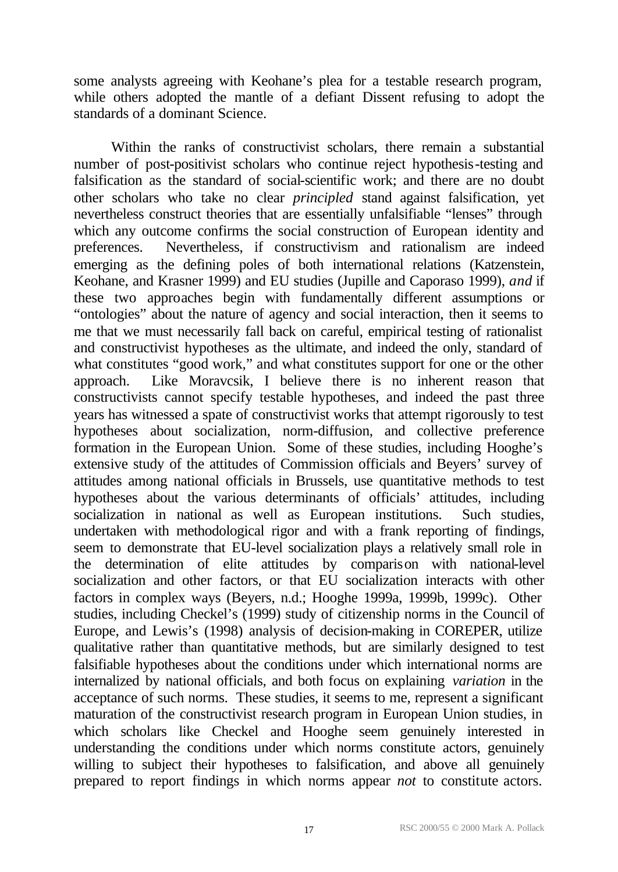some analysts agreeing with Keohane's plea for a testable research program, while others adopted the mantle of a defiant Dissent refusing to adopt the standards of a dominant Science.

Within the ranks of constructivist scholars, there remain a substantial number of post-positivist scholars who continue reject hypothesis-testing and falsification as the standard of social-scientific work; and there are no doubt other scholars who take no clear *principled* stand against falsification, yet nevertheless construct theories that are essentially unfalsifiable "lenses" through which any outcome confirms the social construction of European identity and preferences. Nevertheless, if constructivism and rationalism are indeed emerging as the defining poles of both international relations (Katzenstein, Keohane, and Krasner 1999) and EU studies (Jupille and Caporaso 1999), *and* if these two approaches begin with fundamentally different assumptions or "ontologies" about the nature of agency and social interaction, then it seems to me that we must necessarily fall back on careful, empirical testing of rationalist and constructivist hypotheses as the ultimate, and indeed the only, standard of what constitutes "good work," and what constitutes support for one or the other approach. Like Moravcsik, I believe there is no inherent reason that constructivists cannot specify testable hypotheses, and indeed the past three years has witnessed a spate of constructivist works that attempt rigorously to test hypotheses about socialization, norm-diffusion, and collective preference formation in the European Union. Some of these studies, including Hooghe's extensive study of the attitudes of Commission officials and Beyers' survey of attitudes among national officials in Brussels, use quantitative methods to test hypotheses about the various determinants of officials' attitudes, including socialization in national as well as European institutions. Such studies, undertaken with methodological rigor and with a frank reporting of findings, seem to demonstrate that EU-level socialization plays a relatively small role in the determination of elite attitudes by comparison with national-level socialization and other factors, or that EU socialization interacts with other factors in complex ways (Beyers, n.d.; Hooghe 1999a, 1999b, 1999c). Other studies, including Checkel's (1999) study of citizenship norms in the Council of Europe, and Lewis's (1998) analysis of decision-making in COREPER, utilize qualitative rather than quantitative methods, but are similarly designed to test falsifiable hypotheses about the conditions under which international norms are internalized by national officials, and both focus on explaining *variation* in the acceptance of such norms. These studies, it seems to me, represent a significant maturation of the constructivist research program in European Union studies, in which scholars like Checkel and Hooghe seem genuinely interested in understanding the conditions under which norms constitute actors, genuinely willing to subject their hypotheses to falsification, and above all genuinely prepared to report findings in which norms appear *not* to constitute actors.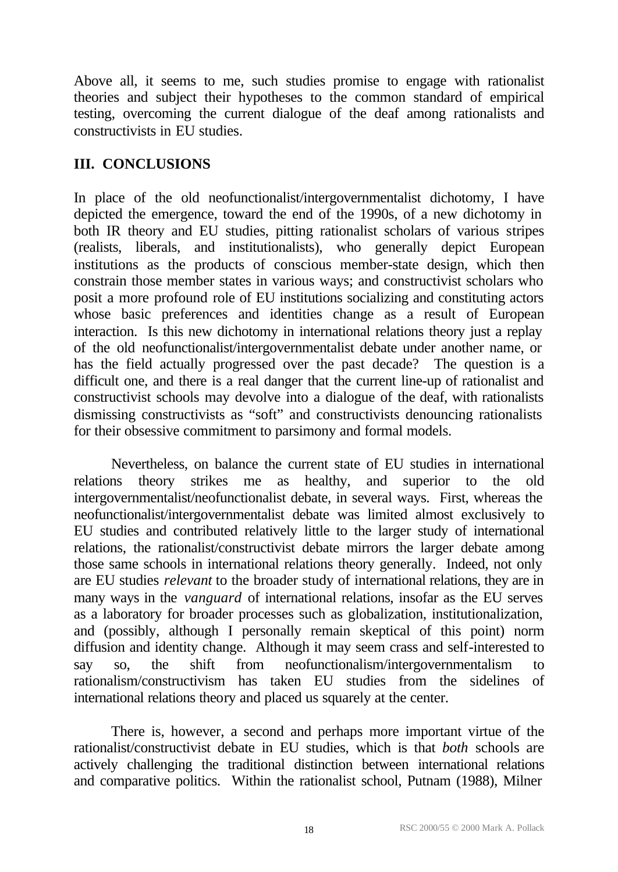Above all, it seems to me, such studies promise to engage with rationalist theories and subject their hypotheses to the common standard of empirical testing, overcoming the current dialogue of the deaf among rationalists and constructivists in EU studies.

## **III. CONCLUSIONS**

In place of the old neofunctionalist/intergovernmentalist dichotomy, I have depicted the emergence, toward the end of the 1990s, of a new dichotomy in both IR theory and EU studies, pitting rationalist scholars of various stripes (realists, liberals, and institutionalists), who generally depict European institutions as the products of conscious member-state design, which then constrain those member states in various ways; and constructivist scholars who posit a more profound role of EU institutions socializing and constituting actors whose basic preferences and identities change as a result of European interaction. Is this new dichotomy in international relations theory just a replay of the old neofunctionalist/intergovernmentalist debate under another name, or has the field actually progressed over the past decade? The question is a difficult one, and there is a real danger that the current line-up of rationalist and constructivist schools may devolve into a dialogue of the deaf, with rationalists dismissing constructivists as "soft" and constructivists denouncing rationalists for their obsessive commitment to parsimony and formal models.

Nevertheless, on balance the current state of EU studies in international relations theory strikes me as healthy, and superior to the old intergovernmentalist/neofunctionalist debate, in several ways. First, whereas the neofunctionalist/intergovernmentalist debate was limited almost exclusively to EU studies and contributed relatively little to the larger study of international relations, the rationalist/constructivist debate mirrors the larger debate among those same schools in international relations theory generally. Indeed, not only are EU studies *relevant* to the broader study of international relations, they are in many ways in the *vanguard* of international relations, insofar as the EU serves as a laboratory for broader processes such as globalization, institutionalization, and (possibly, although I personally remain skeptical of this point) norm diffusion and identity change. Although it may seem crass and self-interested to say so, the shift from neofunctionalism/intergovernmentalism to rationalism/constructivism has taken EU studies from the sidelines of international relations theory and placed us squarely at the center.

There is, however, a second and perhaps more important virtue of the rationalist/constructivist debate in EU studies, which is that *both* schools are actively challenging the traditional distinction between international relations and comparative politics. Within the rationalist school, Putnam (1988), Milner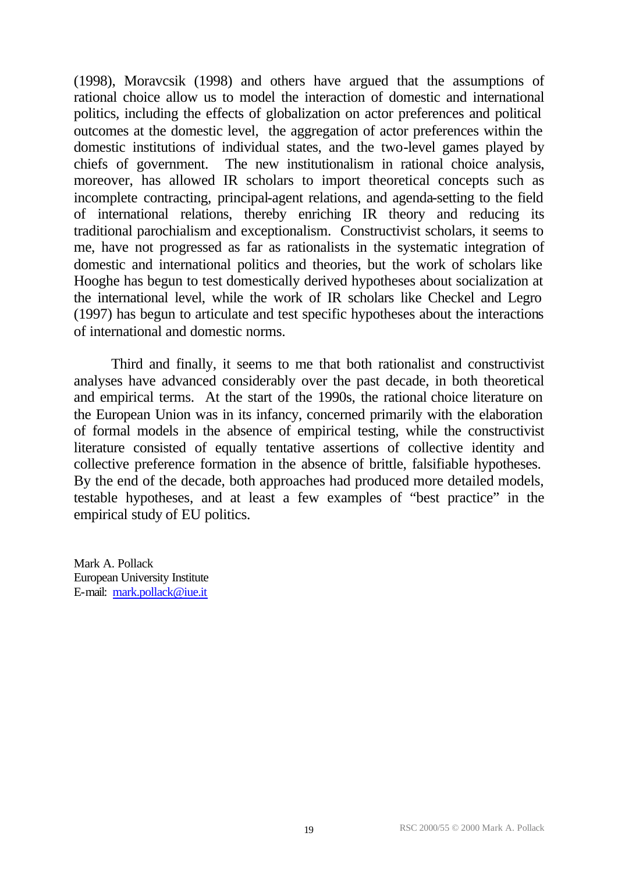(1998), Moravcsik (1998) and others have argued that the assumptions of rational choice allow us to model the interaction of domestic and international politics, including the effects of globalization on actor preferences and political outcomes at the domestic level, the aggregation of actor preferences within the domestic institutions of individual states, and the two-level games played by chiefs of government. The new institutionalism in rational choice analysis, moreover, has allowed IR scholars to import theoretical concepts such as incomplete contracting, principal-agent relations, and agenda-setting to the field of international relations, thereby enriching IR theory and reducing its traditional parochialism and exceptionalism. Constructivist scholars, it seems to me, have not progressed as far as rationalists in the systematic integration of domestic and international politics and theories, but the work of scholars like Hooghe has begun to test domestically derived hypotheses about socialization at the international level, while the work of IR scholars like Checkel and Legro (1997) has begun to articulate and test specific hypotheses about the interactions of international and domestic norms.

Third and finally, it seems to me that both rationalist and constructivist analyses have advanced considerably over the past decade, in both theoretical and empirical terms. At the start of the 1990s, the rational choice literature on the European Union was in its infancy, concerned primarily with the elaboration of formal models in the absence of empirical testing, while the constructivist literature consisted of equally tentative assertions of collective identity and collective preference formation in the absence of brittle, falsifiable hypotheses. By the end of the decade, both approaches had produced more detailed models, testable hypotheses, and at least a few examples of "best practice" in the empirical study of EU politics.

Mark A. Pollack European University Institute E-mail: mark.pollack@iue.it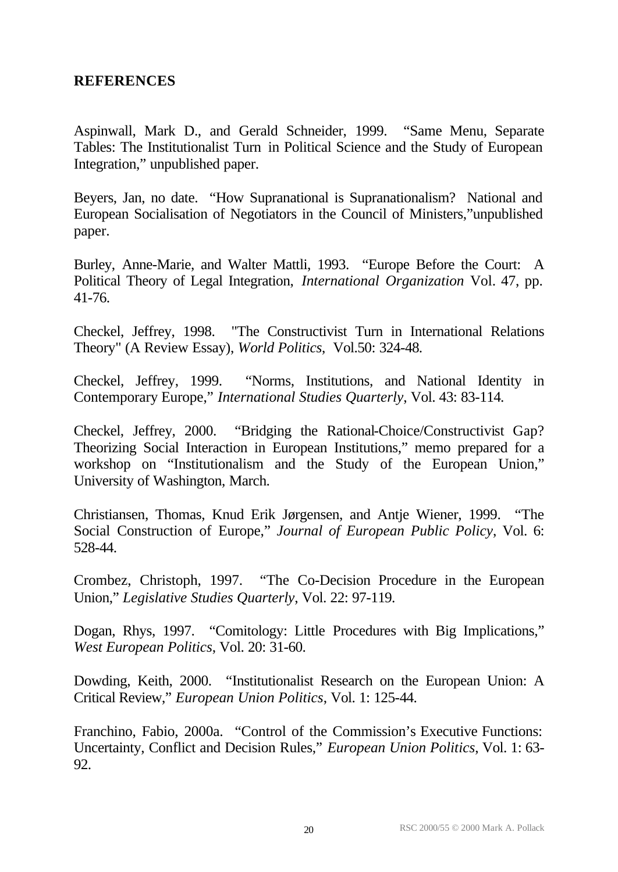#### **REFERENCES**

Aspinwall, Mark D., and Gerald Schneider, 1999. "Same Menu, Separate Tables: The Institutionalist Turn in Political Science and the Study of European Integration," unpublished paper.

Beyers, Jan, no date. "How Supranational is Supranationalism? National and European Socialisation of Negotiators in the Council of Ministers,"unpublished paper.

Burley, Anne-Marie, and Walter Mattli, 1993. "Europe Before the Court: A Political Theory of Legal Integration, *International Organization* Vol. 47, pp. 41-76.

Checkel, Jeffrey, 1998. "The Constructivist Turn in International Relations Theory" (A Review Essay), *World Politics*, Vol.50: 324-48.

Checkel, Jeffrey, 1999. "Norms, Institutions, and National Identity in Contemporary Europe," *International Studies Quarterly*, Vol. 43: 83-114.

Checkel, Jeffrey, 2000. "Bridging the Rational-Choice/Constructivist Gap? Theorizing Social Interaction in European Institutions," memo prepared for a workshop on "Institutionalism and the Study of the European Union," University of Washington, March.

Christiansen, Thomas, Knud Erik Jørgensen, and Antje Wiener, 1999. "The Social Construction of Europe," *Journal of European Public Policy*, Vol. 6: 528-44.

Crombez, Christoph, 1997. "The Co-Decision Procedure in the European Union," *Legislative Studies Quarterly*, Vol. 22: 97-119.

Dogan, Rhys, 1997. "Comitology: Little Procedures with Big Implications," *West European Politics*, Vol. 20: 31-60.

Dowding, Keith, 2000. "Institutionalist Research on the European Union: A Critical Review," *European Union Politics*, Vol. 1: 125-44.

Franchino, Fabio, 2000a. "Control of the Commission's Executive Functions: Uncertainty, Conflict and Decision Rules," *European Union Politics*, Vol. 1: 63- 92.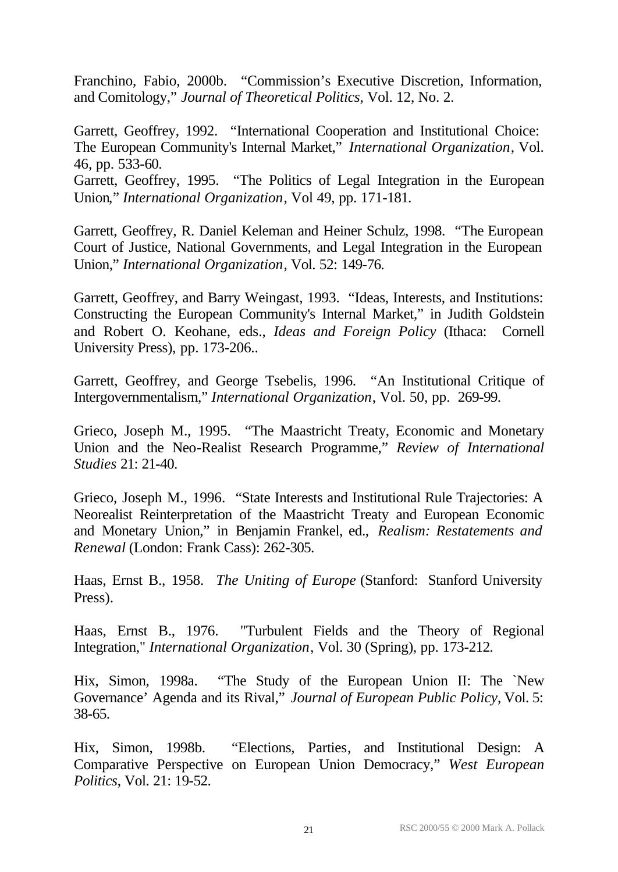Franchino, Fabio, 2000b. "Commission's Executive Discretion, Information, and Comitology," *Journal of Theoretical Politics*, Vol. 12, No. 2.

Garrett, Geoffrey, 1992. "International Cooperation and Institutional Choice: The European Community's Internal Market," *International Organization*, Vol. 46, pp. 533-60.

Garrett, Geoffrey, 1995. "The Politics of Legal Integration in the European Union," *International Organization*, Vol 49, pp. 171-181.

Garrett, Geoffrey, R. Daniel Keleman and Heiner Schulz, 1998. "The European Court of Justice, National Governments, and Legal Integration in the European Union," *International Organization*, Vol. 52: 149-76.

Garrett, Geoffrey, and Barry Weingast, 1993. "Ideas, Interests, and Institutions: Constructing the European Community's Internal Market," in Judith Goldstein and Robert O. Keohane, eds., *Ideas and Foreign Policy* (Ithaca: Cornell University Press), pp. 173-206..

Garrett, Geoffrey, and George Tsebelis, 1996. "An Institutional Critique of Intergovernmentalism," *International Organization*, Vol. 50, pp. 269-99.

Grieco, Joseph M., 1995. "The Maastricht Treaty, Economic and Monetary Union and the Neo-Realist Research Programme," *Review of International Studies* 21: 21-40.

Grieco, Joseph M., 1996. "State Interests and Institutional Rule Trajectories: A Neorealist Reinterpretation of the Maastricht Treaty and European Economic and Monetary Union," in Benjamin Frankel, ed., *Realism: Restatements and Renewal* (London: Frank Cass): 262-305.

Haas, Ernst B., 1958. *The Uniting of Europe* (Stanford: Stanford University Press).

Haas, Ernst B., 1976. "Turbulent Fields and the Theory of Regional Integration," *International Organization*, Vol. 30 (Spring), pp. 173-212.

Hix, Simon, 1998a. "The Study of the European Union II: The `New Governance' Agenda and its Rival," *Journal of European Public Policy*, Vol. 5: 38-65.

Hix, Simon, 1998b. "Elections, Parties, and Institutional Design: A Comparative Perspective on European Union Democracy," *West European Politics*, Vol. 21: 19-52.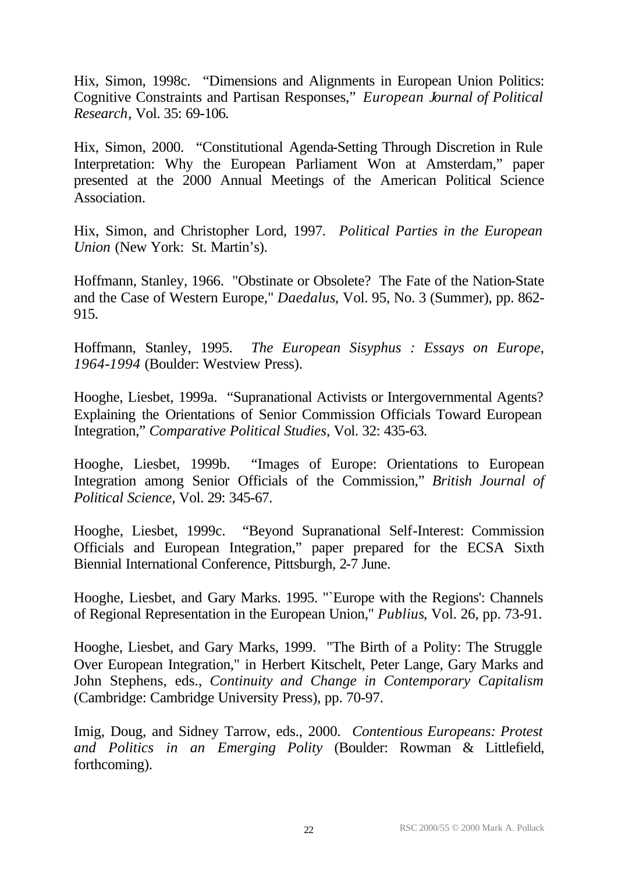Hix, Simon, 1998c. "Dimensions and Alignments in European Union Politics: Cognitive Constraints and Partisan Responses," *European Journal of Political Research*, Vol. 35: 69-106.

Hix, Simon, 2000. "Constitutional Agenda-Setting Through Discretion in Rule Interpretation: Why the European Parliament Won at Amsterdam," paper presented at the 2000 Annual Meetings of the American Political Science Association.

Hix, Simon, and Christopher Lord, 1997. *Political Parties in the European Union* (New York: St. Martin's).

Hoffmann, Stanley, 1966. "Obstinate or Obsolete? The Fate of the Nation-State and the Case of Western Europe," *Daedalus*, Vol. 95, No. 3 (Summer), pp. 862- 915.

Hoffmann, Stanley, 1995. *The European Sisyphus : Essays on Europe, 1964-1994* (Boulder: Westview Press).

Hooghe, Liesbet, 1999a. "Supranational Activists or Intergovernmental Agents? Explaining the Orientations of Senior Commission Officials Toward European Integration," *Comparative Political Studies*, Vol. 32: 435-63.

Hooghe, Liesbet, 1999b. "Images of Europe: Orientations to European Integration among Senior Officials of the Commission," *British Journal of Political Science*, Vol. 29: 345-67.

Hooghe, Liesbet, 1999c. "Beyond Supranational Self-Interest: Commission Officials and European Integration," paper prepared for the ECSA Sixth Biennial International Conference, Pittsburgh, 2-7 June.

Hooghe, Liesbet, and Gary Marks. 1995. "`Europe with the Regions': Channels of Regional Representation in the European Union," *Publius*, Vol. 26, pp. 73-91.

Hooghe, Liesbet, and Gary Marks, 1999. "The Birth of a Polity: The Struggle Over European Integration," in Herbert Kitschelt, Peter Lange, Gary Marks and John Stephens, eds., *Continuity and Change in Contemporary Capitalism* (Cambridge: Cambridge University Press), pp. 70-97.

Imig, Doug, and Sidney Tarrow, eds., 2000. *Contentious Europeans: Protest and Politics in an Emerging Polity* (Boulder: Rowman & Littlefield, forthcoming).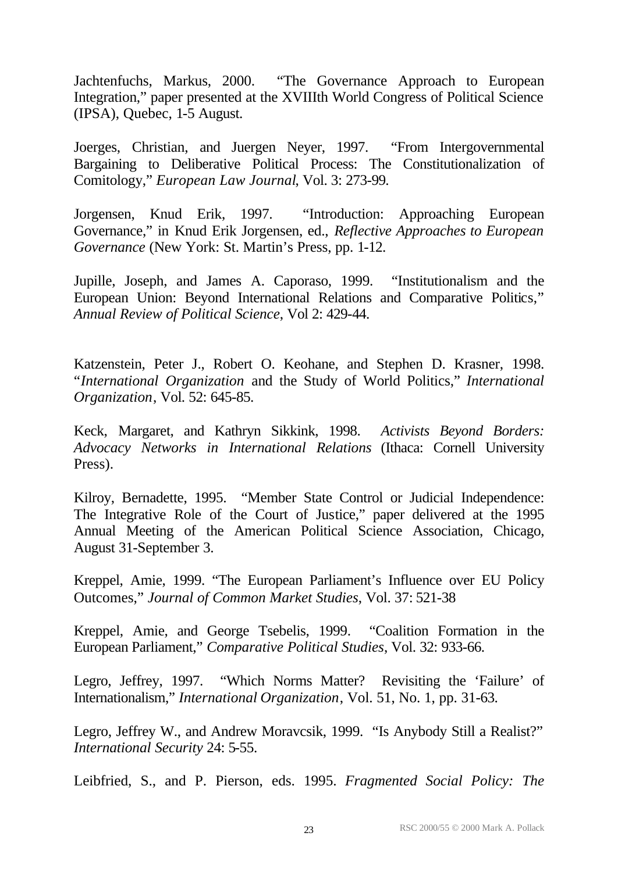Jachtenfuchs, Markus, 2000. "The Governance Approach to European Integration," paper presented at the XVIIIth World Congress of Political Science (IPSA), Quebec, 1-5 August.

Joerges, Christian, and Juergen Neyer, 1997. "From Intergovernmental Bargaining to Deliberative Political Process: The Constitutionalization of Comitology," *European Law Journal*, Vol. 3: 273-99.

Jorgensen, Knud Erik, 1997. "Introduction: Approaching European Governance," in Knud Erik Jorgensen, ed., *Reflective Approaches to European Governance* (New York: St. Martin's Press, pp. 1-12.

Jupille, Joseph, and James A. Caporaso, 1999. "Institutionalism and the European Union: Beyond International Relations and Comparative Politics," *Annual Review of Political Science*, Vol 2: 429-44.

Katzenstein, Peter J., Robert O. Keohane, and Stephen D. Krasner, 1998. "*International Organization* and the Study of World Politics," *International Organization*, Vol. 52: 645-85.

Keck, Margaret, and Kathryn Sikkink, 1998. *Activists Beyond Borders: Advocacy Networks in International Relations* (Ithaca: Cornell University Press).

Kilroy, Bernadette, 1995. "Member State Control or Judicial Independence: The Integrative Role of the Court of Justice," paper delivered at the 1995 Annual Meeting of the American Political Science Association, Chicago, August 31-September 3.

Kreppel, Amie, 1999. "The European Parliament's Influence over EU Policy Outcomes," *Journal of Common Market Studies*, Vol. 37: 521-38

Kreppel, Amie, and George Tsebelis, 1999. "Coalition Formation in the European Parliament," *Comparative Political Studies*, Vol. 32: 933-66.

Legro, Jeffrey, 1997. "Which Norms Matter? Revisiting the 'Failure' of Internationalism," *International Organization*, Vol. 51, No. 1, pp. 31-63.

Legro, Jeffrey W., and Andrew Moravcsik, 1999. "Is Anybody Still a Realist?" *International Security* 24: 5-55.

Leibfried, S., and P. Pierson, eds. 1995. *Fragmented Social Policy: The*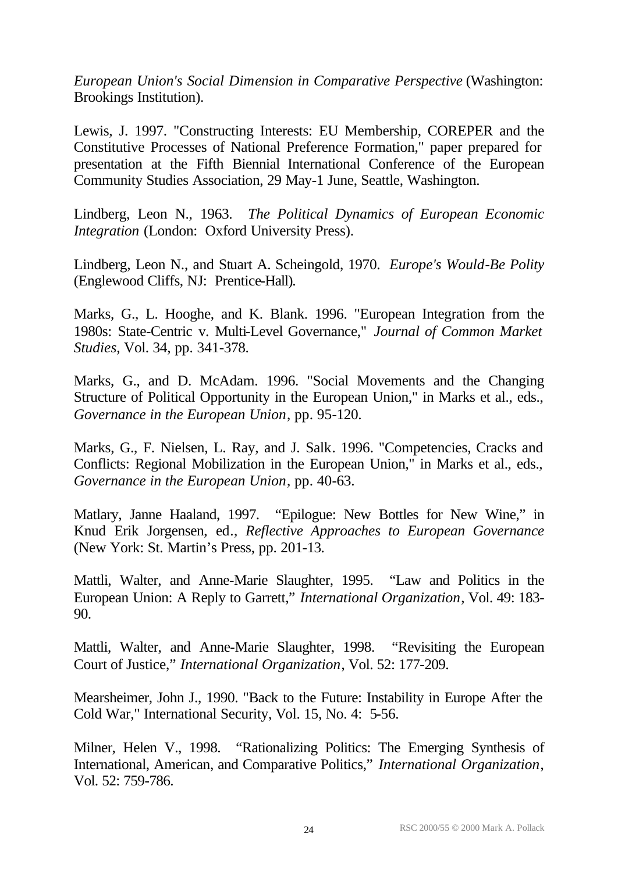*European Union's Social Dimension in Comparative Perspective* (Washington: Brookings Institution).

Lewis, J. 1997. "Constructing Interests: EU Membership, COREPER and the Constitutive Processes of National Preference Formation," paper prepared for presentation at the Fifth Biennial International Conference of the European Community Studies Association, 29 May-1 June, Seattle, Washington.

Lindberg, Leon N., 1963. *The Political Dynamics of European Economic Integration* (London: Oxford University Press).

Lindberg, Leon N., and Stuart A. Scheingold, 1970. *Europe's Would-Be Polity* (Englewood Cliffs, NJ: Prentice-Hall).

Marks, G., L. Hooghe, and K. Blank. 1996. "European Integration from the 1980s: State-Centric v. Multi-Level Governance," *Journal of Common Market Studies*, Vol. 34, pp. 341-378.

Marks, G., and D. McAdam. 1996. "Social Movements and the Changing Structure of Political Opportunity in the European Union," in Marks et al., eds., *Governance in the European Union*, pp. 95-120.

Marks, G., F. Nielsen, L. Ray, and J. Salk. 1996. "Competencies, Cracks and Conflicts: Regional Mobilization in the European Union," in Marks et al., eds., *Governance in the European Union*, pp. 40-63.

Matlary, Janne Haaland, 1997. "Epilogue: New Bottles for New Wine," in Knud Erik Jorgensen, ed., *Reflective Approaches to European Governance* (New York: St. Martin's Press, pp. 201-13.

Mattli, Walter, and Anne-Marie Slaughter, 1995. "Law and Politics in the European Union: A Reply to Garrett," *International Organization*, Vol. 49: 183- 90.

Mattli, Walter, and Anne-Marie Slaughter, 1998. "Revisiting the European Court of Justice," *International Organization*, Vol. 52: 177-209.

Mearsheimer, John J., 1990. "Back to the Future: Instability in Europe After the Cold War," International Security, Vol. 15, No. 4: 5-56.

Milner, Helen V., 1998. "Rationalizing Politics: The Emerging Synthesis of International, American, and Comparative Politics," *International Organization*, Vol. 52: 759-786.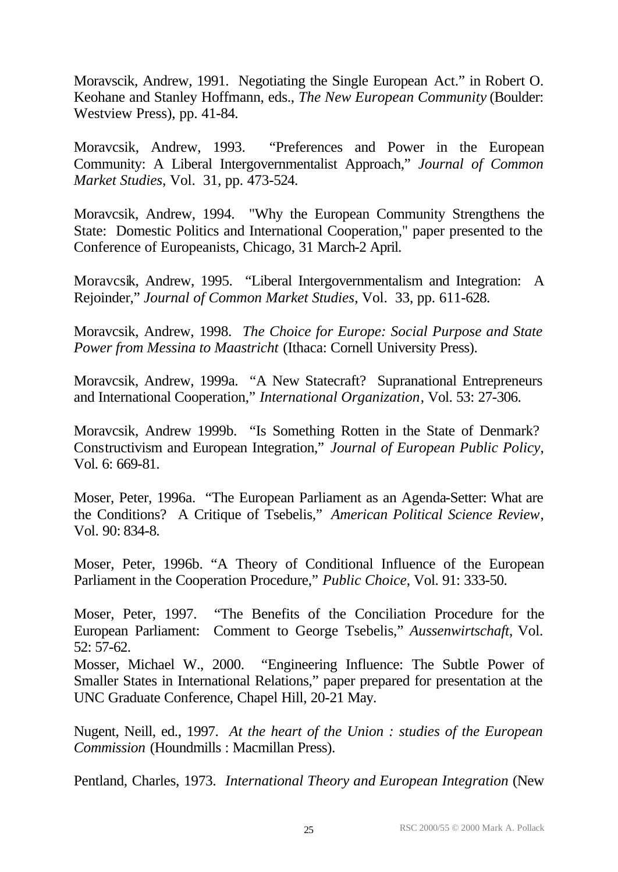Moravscik, Andrew, 1991. Negotiating the Single European Act." in Robert O. Keohane and Stanley Hoffmann, eds., *The New European Community* (Boulder: Westview Press), pp. 41-84.

Moravcsik, Andrew, 1993. "Preferences and Power in the European Community: A Liberal Intergovernmentalist Approach," *Journal of Common Market Studies*, Vol. 31, pp. 473-524.

Moravcsik, Andrew, 1994. "Why the European Community Strengthens the State: Domestic Politics and International Cooperation," paper presented to the Conference of Europeanists, Chicago, 31 March-2 April.

Moravcsik, Andrew, 1995. "Liberal Intergovernmentalism and Integration: A Rejoinder," *Journal of Common Market Studies*, Vol. 33, pp. 611-628.

Moravcsik, Andrew, 1998. *The Choice for Europe: Social Purpose and State Power from Messina to Maastricht* (Ithaca: Cornell University Press).

Moravcsik, Andrew, 1999a. "A New Statecraft? Supranational Entrepreneurs and International Cooperation," *International Organization*, Vol. 53: 27-306.

Moravcsik, Andrew 1999b. "Is Something Rotten in the State of Denmark? Constructivism and European Integration," *Journal of European Public Policy*, Vol. 6: 669-81.

Moser, Peter, 1996a. "The European Parliament as an Agenda-Setter: What are the Conditions? A Critique of Tsebelis," *American Political Science Review*, Vol. 90: 834-8.

Moser, Peter, 1996b. "A Theory of Conditional Influence of the European Parliament in the Cooperation Procedure," *Public Choice*, Vol. 91: 333-50.

Moser, Peter, 1997. "The Benefits of the Conciliation Procedure for the European Parliament: Comment to George Tsebelis," *Aussenwirtschaft*, Vol. 52: 57-62.

Mosser, Michael W., 2000. "Engineering Influence: The Subtle Power of Smaller States in International Relations," paper prepared for presentation at the UNC Graduate Conference, Chapel Hill, 20-21 May.

Nugent, Neill, ed., 1997. *At the heart of the Union : studies of the European Commission* (Houndmills : Macmillan Press).

Pentland, Charles, 1973. *International Theory and European Integration* (New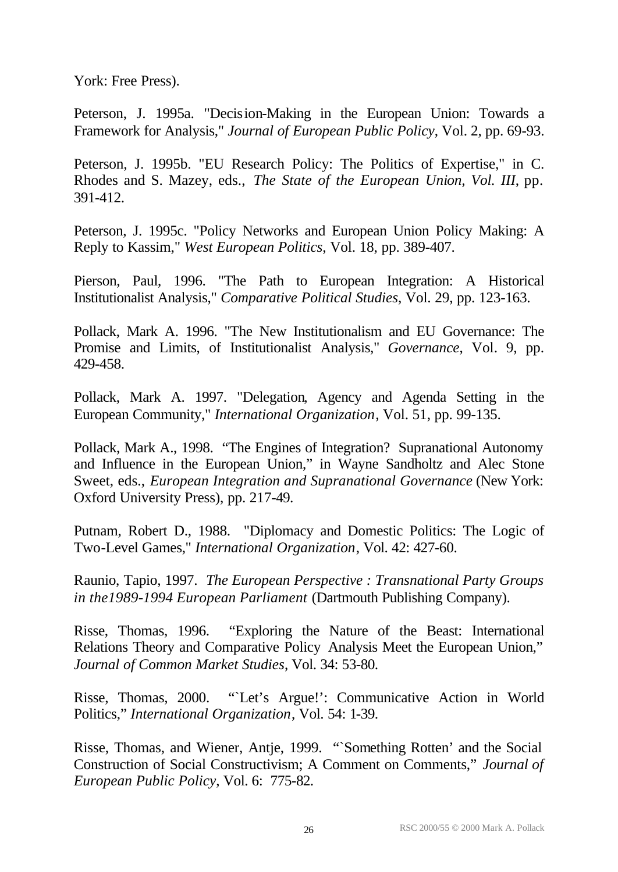York: Free Press).

Peterson, J. 1995a. "Decision-Making in the European Union: Towards a Framework for Analysis," *Journal of European Public Policy*, Vol. 2, pp. 69-93.

Peterson, J. 1995b. "EU Research Policy: The Politics of Expertise," in C. Rhodes and S. Mazey, eds., *The State of the European Union, Vol. III*, pp. 391-412.

Peterson, J. 1995c. "Policy Networks and European Union Policy Making: A Reply to Kassim," *West European Politics*, Vol. 18, pp. 389-407.

Pierson, Paul, 1996. "The Path to European Integration: A Historical Institutionalist Analysis," *Comparative Political Studies*, Vol. 29, pp. 123-163.

Pollack, Mark A. 1996. "The New Institutionalism and EU Governance: The Promise and Limits, of Institutionalist Analysis," *Governance*, Vol. 9, pp. 429-458.

Pollack, Mark A. 1997. "Delegation, Agency and Agenda Setting in the European Community," *International Organization*, Vol. 51, pp. 99-135.

Pollack, Mark A., 1998. "The Engines of Integration? Supranational Autonomy and Influence in the European Union," in Wayne Sandholtz and Alec Stone Sweet, eds., *European Integration and Supranational Governance* (New York: Oxford University Press), pp. 217-49.

Putnam, Robert D., 1988. "Diplomacy and Domestic Politics: The Logic of Two-Level Games," *International Organization*, Vol. 42: 427-60.

Raunio, Tapio, 1997. *The European Perspective : Transnational Party Groups in the1989-1994 European Parliament* (Dartmouth Publishing Company).

Risse, Thomas, 1996. "Exploring the Nature of the Beast: International Relations Theory and Comparative Policy Analysis Meet the European Union," *Journal of Common Market Studies*, Vol. 34: 53-80.

Risse, Thomas, 2000. "`Let's Argue!': Communicative Action in World Politics," *International Organization*, Vol. 54: 1-39.

Risse, Thomas, and Wiener, Antje, 1999. "`Something Rotten' and the Social Construction of Social Constructivism; A Comment on Comments," *Journal of European Public Policy*, Vol. 6: 775-82.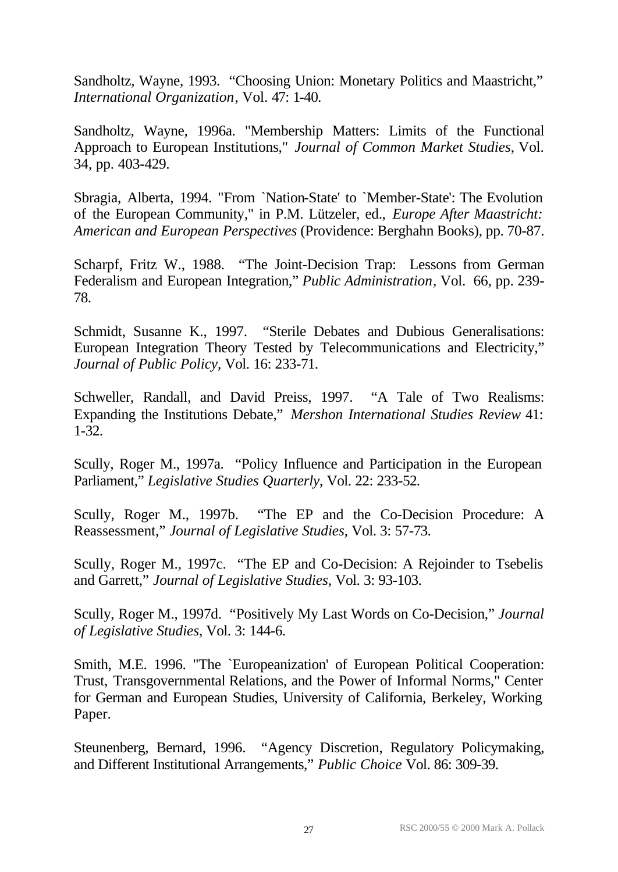Sandholtz, Wayne, 1993. "Choosing Union: Monetary Politics and Maastricht," *International Organization*, Vol. 47: 1-40.

Sandholtz, Wayne, 1996a. "Membership Matters: Limits of the Functional Approach to European Institutions," *Journal of Common Market Studies*, Vol. 34, pp. 403-429.

Sbragia, Alberta, 1994. "From `Nation-State' to `Member-State': The Evolution of the European Community," in P.M. Lützeler, ed., *Europe After Maastricht: American and European Perspectives* (Providence: Berghahn Books), pp. 70-87.

Scharpf, Fritz W., 1988. "The Joint-Decision Trap: Lessons from German Federalism and European Integration," *Public Administration*, Vol. 66, pp. 239- 78.

Schmidt, Susanne K., 1997. "Sterile Debates and Dubious Generalisations: European Integration Theory Tested by Telecommunications and Electricity," *Journal of Public Policy*, Vol. 16: 233-71.

Schweller, Randall, and David Preiss, 1997. "A Tale of Two Realisms: Expanding the Institutions Debate," *Mershon International Studies Review* 41: 1-32.

Scully, Roger M., 1997a. "Policy Influence and Participation in the European Parliament," *Legislative Studies Quarterly*, Vol. 22: 233-52.

Scully, Roger M., 1997b. "The EP and the Co-Decision Procedure: A Reassessment," *Journal of Legislative Studies*, Vol. 3: 57-73.

Scully, Roger M., 1997c. "The EP and Co-Decision: A Rejoinder to Tsebelis and Garrett," *Journal of Legislative Studies*, Vol. 3: 93-103.

Scully, Roger M., 1997d. "Positively My Last Words on Co-Decision," *Journal of Legislative Studies*, Vol. 3: 144-6.

Smith, M.E. 1996. "The `Europeanization' of European Political Cooperation: Trust, Transgovernmental Relations, and the Power of Informal Norms," Center for German and European Studies, University of California, Berkeley, Working Paper.

Steunenberg, Bernard, 1996. "Agency Discretion, Regulatory Policymaking, and Different Institutional Arrangements," *Public Choice* Vol. 86: 309-39.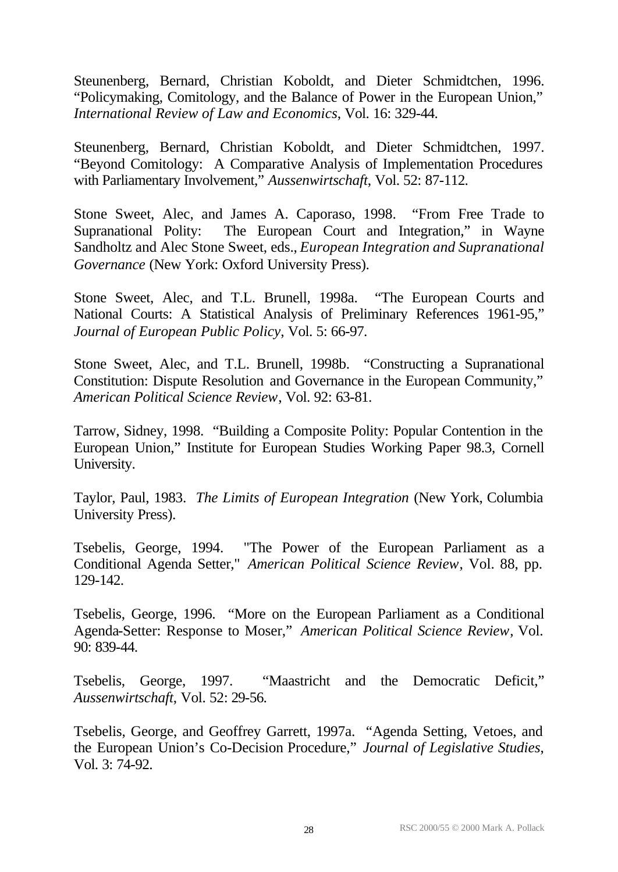Steunenberg, Bernard, Christian Koboldt, and Dieter Schmidtchen, 1996. "Policymaking, Comitology, and the Balance of Power in the European Union," *International Review of Law and Economics*, Vol. 16: 329-44.

Steunenberg, Bernard, Christian Koboldt, and Dieter Schmidtchen, 1997. "Beyond Comitology: A Comparative Analysis of Implementation Procedures with Parliamentary Involvement," *Aussenwirtschaft*, Vol. 52: 87-112.

Stone Sweet, Alec, and James A. Caporaso, 1998. "From Free Trade to Supranational Polity: The European Court and Integration," in Wayne Sandholtz and Alec Stone Sweet, eds., *European Integration and Supranational Governance* (New York: Oxford University Press).

Stone Sweet, Alec, and T.L. Brunell, 1998a. "The European Courts and National Courts: A Statistical Analysis of Preliminary References 1961-95," *Journal of European Public Policy*, Vol. 5: 66-97.

Stone Sweet, Alec, and T.L. Brunell, 1998b. "Constructing a Supranational Constitution: Dispute Resolution and Governance in the European Community," *American Political Science Review*, Vol. 92: 63-81.

Tarrow, Sidney, 1998. "Building a Composite Polity: Popular Contention in the European Union," Institute for European Studies Working Paper 98.3, Cornell University.

Taylor, Paul, 1983. *The Limits of European Integration* (New York, Columbia University Press).

Tsebelis, George, 1994. "The Power of the European Parliament as a Conditional Agenda Setter," *American Political Science Review*, Vol. 88, pp. 129-142.

Tsebelis, George, 1996. "More on the European Parliament as a Conditional Agenda-Setter: Response to Moser," *American Political Science Review*, Vol. 90: 839-44.

Tsebelis, George, 1997. "Maastricht and the Democratic Deficit," *Aussenwirtschaft*, Vol. 52: 29-56.

Tsebelis, George, and Geoffrey Garrett, 1997a. "Agenda Setting, Vetoes, and the European Union's Co-Decision Procedure," *Journal of Legislative Studies*, Vol. 3: 74-92.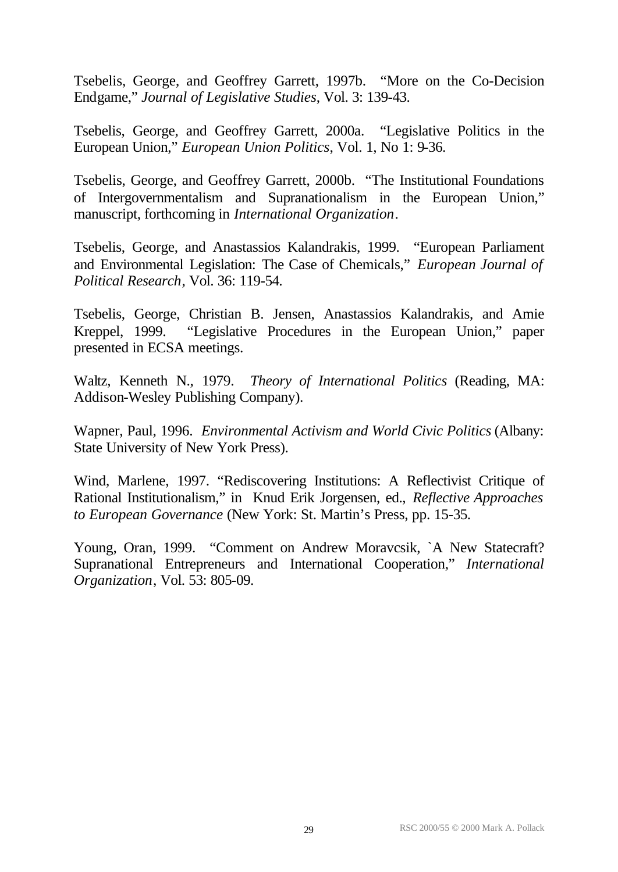Tsebelis, George, and Geoffrey Garrett, 1997b. "More on the Co-Decision Endgame," *Journal of Legislative Studies*, Vol. 3: 139-43.

Tsebelis, George, and Geoffrey Garrett, 2000a. "Legislative Politics in the European Union," *European Union Politics*, Vol. 1, No 1: 9-36.

Tsebelis, George, and Geoffrey Garrett, 2000b. "The Institutional Foundations of Intergovernmentalism and Supranationalism in the European Union," manuscript, forthcoming in *International Organization*.

Tsebelis, George, and Anastassios Kalandrakis, 1999. "European Parliament and Environmental Legislation: The Case of Chemicals," *European Journal of Political Research*, Vol. 36: 119-54.

Tsebelis, George, Christian B. Jensen, Anastassios Kalandrakis, and Amie Kreppel, 1999. "Legislative Procedures in the European Union," paper presented in ECSA meetings.

Waltz, Kenneth N., 1979. *Theory of International Politics* (Reading, MA: Addison-Wesley Publishing Company).

Wapner, Paul, 1996. *Environmental Activism and World Civic Politics* (Albany: State University of New York Press).

Wind, Marlene, 1997. "Rediscovering Institutions: A Reflectivist Critique of Rational Institutionalism," in Knud Erik Jorgensen, ed., *Reflective Approaches to European Governance* (New York: St. Martin's Press, pp. 15-35.

Young, Oran, 1999. "Comment on Andrew Moravcsik, `A New Statecraft? Supranational Entrepreneurs and International Cooperation," *International Organization*, Vol. 53: 805-09.